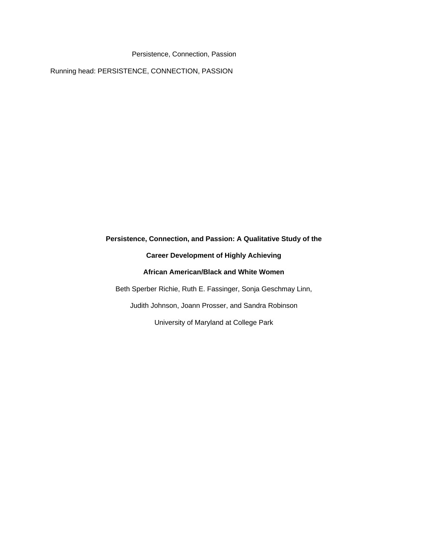Running head: PERSISTENCE, CONNECTION, PASSION

# **Persistence, Connection, and Passion: A Qualitative Study of the Career Development of Highly Achieving African American/Black and White Women** Beth Sperber Richie, Ruth E. Fassinger, Sonja Geschmay Linn, Judith Johnson, Joann Prosser, and Sandra Robinson University of Maryland at College Park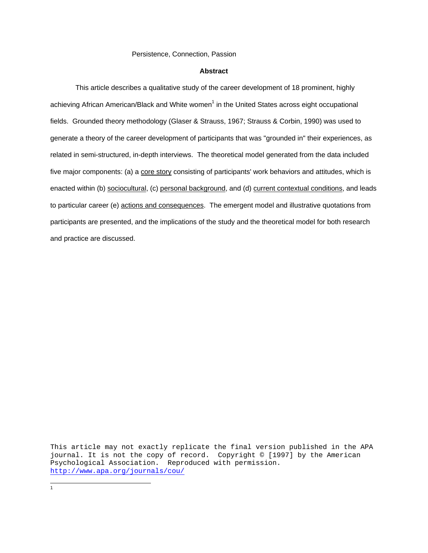#### **Abstract**

 This article describes a qualitative study of t[he](#page-1-0) career development of 18 prominent, highly achieving African American/Black and White women<sup>1</sup> in the United States across eight occupational fields. Grounded theory methodology (Glaser & Strauss, 1967; Strauss & Corbin, 1990) was used to generate a theory of the career development of participants that was "grounded in" their experiences, as related in semi-structured, in-depth interviews. The theoretical model generated from the data included five major components: (a) a core story consisting of participants' work behaviors and attitudes, which is enacted within (b) sociocultural, (c) personal background, and (d) current contextual conditions, and leads to particular career (e) actions and consequences. The emergent model and illustrative quotations from participants are presented, and the implications of the study and the theoretical model for both research and practice are discussed.

This article may not exactly replicate the final version published in the APA journal. It is not the copy of record. Copyright © [1997] by the American Psychological Association. Reproduced with permission. <http://www.apa.org/journals/cou/>

<span id="page-1-0"></span> $\frac{1}{1}$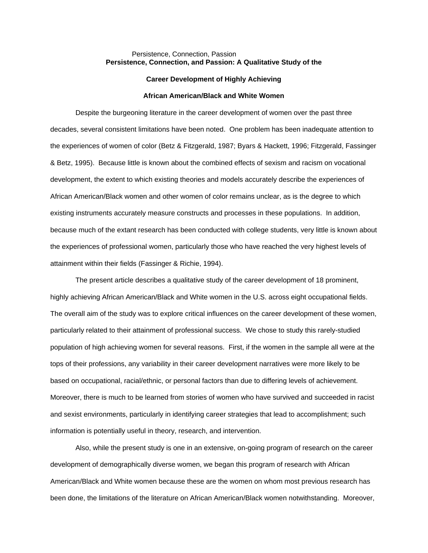# Persistence, Connection, Passion **Persistence, Connection, and Passion: A Qualitative Study of the**

#### **Career Development of Highly Achieving**

#### **African American/Black and White Women**

 Despite the burgeoning literature in the career development of women over the past three decades, several consistent limitations have been noted. One problem has been inadequate attention to the experiences of women of color (Betz & Fitzgerald, 1987; Byars & Hackett, 1996; Fitzgerald, Fassinger & Betz, 1995). Because little is known about the combined effects of sexism and racism on vocational development, the extent to which existing theories and models accurately describe the experiences of African American/Black women and other women of color remains unclear, as is the degree to which existing instruments accurately measure constructs and processes in these populations. In addition, because much of the extant research has been conducted with college students, very little is known about the experiences of professional women, particularly those who have reached the very highest levels of attainment within their fields (Fassinger & Richie, 1994).

 The present article describes a qualitative study of the career development of 18 prominent, highly achieving African American/Black and White women in the U.S. across eight occupational fields. The overall aim of the study was to explore critical influences on the career development of these women, particularly related to their attainment of professional success. We chose to study this rarely-studied population of high achieving women for several reasons. First, if the women in the sample all were at the tops of their professions, any variability in their career development narratives were more likely to be based on occupational, racial/ethnic, or personal factors than due to differing levels of achievement. Moreover, there is much to be learned from stories of women who have survived and succeeded in racist and sexist environments, particularly in identifying career strategies that lead to accomplishment; such information is potentially useful in theory, research, and intervention.

 Also, while the present study is one in an extensive, on-going program of research on the career development of demographically diverse women, we began this program of research with African American/Black and White women because these are the women on whom most previous research has been done, the limitations of the literature on African American/Black women notwithstanding. Moreover,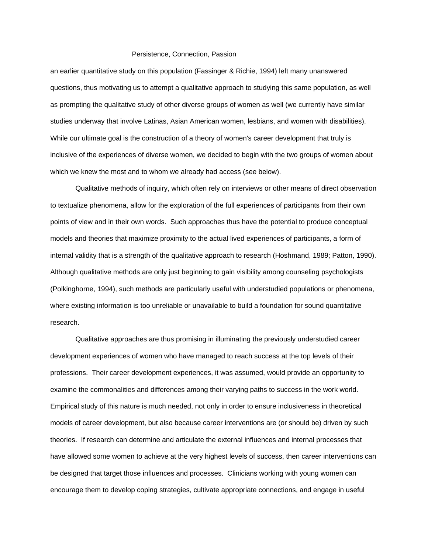an earlier quantitative study on this population (Fassinger & Richie, 1994) left many unanswered questions, thus motivating us to attempt a qualitative approach to studying this same population, as well as prompting the qualitative study of other diverse groups of women as well (we currently have similar studies underway that involve Latinas, Asian American women, lesbians, and women with disabilities). While our ultimate goal is the construction of a theory of women's career development that truly is inclusive of the experiences of diverse women, we decided to begin with the two groups of women about which we knew the most and to whom we already had access (see below).

 Qualitative methods of inquiry, which often rely on interviews or other means of direct observation to textualize phenomena, allow for the exploration of the full experiences of participants from their own points of view and in their own words. Such approaches thus have the potential to produce conceptual models and theories that maximize proximity to the actual lived experiences of participants, a form of internal validity that is a strength of the qualitative approach to research (Hoshmand, 1989; Patton, 1990). Although qualitative methods are only just beginning to gain visibility among counseling psychologists (Polkinghorne, 1994), such methods are particularly useful with understudied populations or phenomena, where existing information is too unreliable or unavailable to build a foundation for sound quantitative research.

 Qualitative approaches are thus promising in illuminating the previously understudied career development experiences of women who have managed to reach success at the top levels of their professions. Their career development experiences, it was assumed, would provide an opportunity to examine the commonalities and differences among their varying paths to success in the work world. Empirical study of this nature is much needed, not only in order to ensure inclusiveness in theoretical models of career development, but also because career interventions are (or should be) driven by such theories. If research can determine and articulate the external influences and internal processes that have allowed some women to achieve at the very highest levels of success, then career interventions can be designed that target those influences and processes. Clinicians working with young women can encourage them to develop coping strategies, cultivate appropriate connections, and engage in useful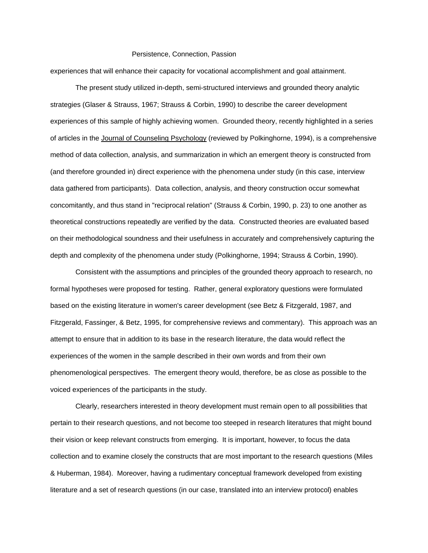experiences that will enhance their capacity for vocational accomplishment and goal attainment.

 The present study utilized in-depth, semi-structured interviews and grounded theory analytic strategies (Glaser & Strauss, 1967; Strauss & Corbin, 1990) to describe the career development experiences of this sample of highly achieving women. Grounded theory, recently highlighted in a series of articles in the Journal of Counseling Psychology (reviewed by Polkinghorne, 1994), is a comprehensive method of data collection, analysis, and summarization in which an emergent theory is constructed from (and therefore grounded in) direct experience with the phenomena under study (in this case, interview data gathered from participants). Data collection, analysis, and theory construction occur somewhat concomitantly, and thus stand in "reciprocal relation" (Strauss & Corbin, 1990, p. 23) to one another as theoretical constructions repeatedly are verified by the data. Constructed theories are evaluated based on their methodological soundness and their usefulness in accurately and comprehensively capturing the depth and complexity of the phenomena under study (Polkinghorne, 1994; Strauss & Corbin, 1990).

 Consistent with the assumptions and principles of the grounded theory approach to research, no formal hypotheses were proposed for testing. Rather, general exploratory questions were formulated based on the existing literature in women's career development (see Betz & Fitzgerald, 1987, and Fitzgerald, Fassinger, & Betz, 1995, for comprehensive reviews and commentary). This approach was an attempt to ensure that in addition to its base in the research literature, the data would reflect the experiences of the women in the sample described in their own words and from their own phenomenological perspectives. The emergent theory would, therefore, be as close as possible to the voiced experiences of the participants in the study.

 Clearly, researchers interested in theory development must remain open to all possibilities that pertain to their research questions, and not become too steeped in research literatures that might bound their vision or keep relevant constructs from emerging. It is important, however, to focus the data collection and to examine closely the constructs that are most important to the research questions (Miles & Huberman, 1984). Moreover, having a rudimentary conceptual framework developed from existing literature and a set of research questions (in our case, translated into an interview protocol) enables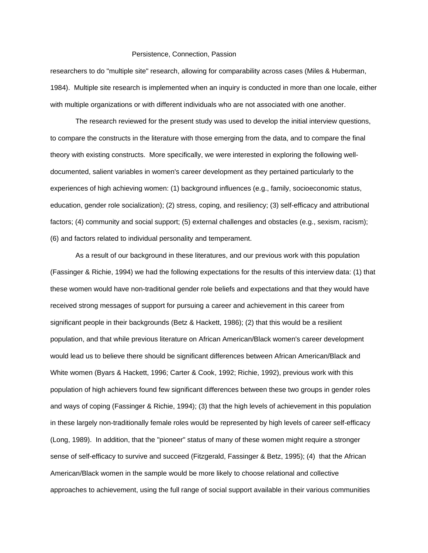researchers to do "multiple site" research, allowing for comparability across cases (Miles & Huberman, 1984). Multiple site research is implemented when an inquiry is conducted in more than one locale, either with multiple organizations or with different individuals who are not associated with one another.

 The research reviewed for the present study was used to develop the initial interview questions, to compare the constructs in the literature with those emerging from the data, and to compare the final theory with existing constructs. More specifically, we were interested in exploring the following welldocumented, salient variables in women's career development as they pertained particularly to the experiences of high achieving women: (1) background influences (e.g., family, socioeconomic status, education, gender role socialization); (2) stress, coping, and resiliency; (3) self-efficacy and attributional factors; (4) community and social support; (5) external challenges and obstacles (e.g., sexism, racism); (6) and factors related to individual personality and temperament.

 As a result of our background in these literatures, and our previous work with this population (Fassinger & Richie, 1994) we had the following expectations for the results of this interview data: (1) that these women would have non-traditional gender role beliefs and expectations and that they would have received strong messages of support for pursuing a career and achievement in this career from significant people in their backgrounds (Betz & Hackett, 1986); (2) that this would be a resilient population, and that while previous literature on African American/Black women's career development would lead us to believe there should be significant differences between African American/Black and White women (Byars & Hackett, 1996; Carter & Cook, 1992; Richie, 1992), previous work with this population of high achievers found few significant differences between these two groups in gender roles and ways of coping (Fassinger & Richie, 1994); (3) that the high levels of achievement in this population in these largely non-traditionally female roles would be represented by high levels of career self-efficacy (Long, 1989). In addition, that the "pioneer" status of many of these women might require a stronger sense of self-efficacy to survive and succeed (Fitzgerald, Fassinger & Betz, 1995); (4) that the African American/Black women in the sample would be more likely to choose relational and collective approaches to achievement, using the full range of social support available in their various communities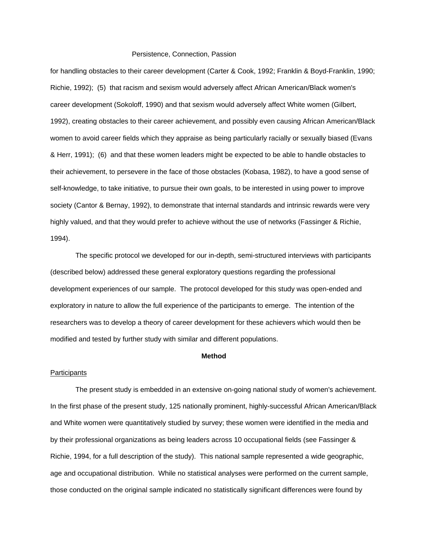for handling obstacles to their career development (Carter & Cook, 1992; Franklin & Boyd-Franklin, 1990; Richie, 1992); (5) that racism and sexism would adversely affect African American/Black women's career development (Sokoloff, 1990) and that sexism would adversely affect White women (Gilbert, 1992), creating obstacles to their career achievement, and possibly even causing African American/Black women to avoid career fields which they appraise as being particularly racially or sexually biased (Evans & Herr, 1991); (6) and that these women leaders might be expected to be able to handle obstacles to their achievement, to persevere in the face of those obstacles (Kobasa, 1982), to have a good sense of self-knowledge, to take initiative, to pursue their own goals, to be interested in using power to improve society (Cantor & Bernay, 1992), to demonstrate that internal standards and intrinsic rewards were very highly valued, and that they would prefer to achieve without the use of networks (Fassinger & Richie, 1994).

 The specific protocol we developed for our in-depth, semi-structured interviews with participants (described below) addressed these general exploratory questions regarding the professional development experiences of our sample. The protocol developed for this study was open-ended and exploratory in nature to allow the full experience of the participants to emerge. The intention of the researchers was to develop a theory of career development for these achievers which would then be modified and tested by further study with similar and different populations.

#### **Method**

# **Participants**

 The present study is embedded in an extensive on-going national study of women's achievement. In the first phase of the present study, 125 nationally prominent, highly-successful African American/Black and White women were quantitatively studied by survey; these women were identified in the media and by their professional organizations as being leaders across 10 occupational fields (see Fassinger & Richie, 1994, for a full description of the study). This national sample represented a wide geographic, age and occupational distribution. While no statistical analyses were performed on the current sample, those conducted on the original sample indicated no statistically significant differences were found by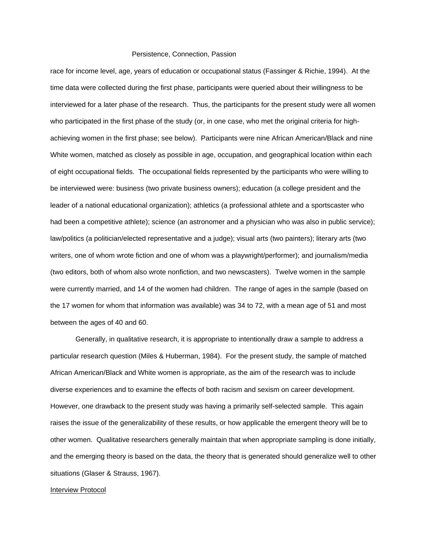race for income level, age, years of education or occupational status (Fassinger & Richie, 1994). At the time data were collected during the first phase, participants were queried about their willingness to be interviewed for a later phase of the research. Thus, the participants for the present study were all women who participated in the first phase of the study (or, in one case, who met the original criteria for highachieving women in the first phase; see below). Participants were nine African American/Black and nine White women, matched as closely as possible in age, occupation, and geographical location within each of eight occupational fields. The occupational fields represented by the participants who were willing to be interviewed were: business (two private business owners); education (a college president and the leader of a national educational organization); athletics (a professional athlete and a sportscaster who had been a competitive athlete); science (an astronomer and a physician who was also in public service); law/politics (a politician/elected representative and a judge); visual arts (two painters); literary arts (two writers, one of whom wrote fiction and one of whom was a playwright/performer); and journalism/media (two editors, both of whom also wrote nonfiction, and two newscasters). Twelve women in the sample were currently married, and 14 of the women had children. The range of ages in the sample (based on the 17 women for whom that information was available) was 34 to 72, with a mean age of 51 and most between the ages of 40 and 60.

 Generally, in qualitative research, it is appropriate to intentionally draw a sample to address a particular research question (Miles & Huberman, 1984). For the present study, the sample of matched African American/Black and White women is appropriate, as the aim of the research was to include diverse experiences and to examine the effects of both racism and sexism on career development. However, one drawback to the present study was having a primarily self-selected sample. This again raises the issue of the generalizability of these results, or how applicable the emergent theory will be to other women. Qualitative researchers generally maintain that when appropriate sampling is done initially, and the emerging theory is based on the data, the theory that is generated should generalize well to other situations (Glaser & Strauss, 1967).

#### Interview Protocol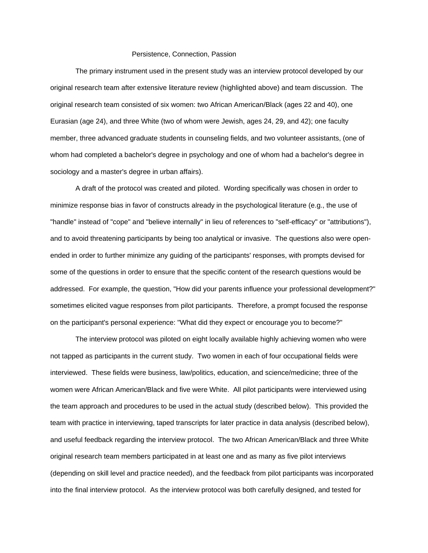The primary instrument used in the present study was an interview protocol developed by our original research team after extensive literature review (highlighted above) and team discussion. The original research team consisted of six women: two African American/Black (ages 22 and 40), one Eurasian (age 24), and three White (two of whom were Jewish, ages 24, 29, and 42); one faculty member, three advanced graduate students in counseling fields, and two volunteer assistants, (one of whom had completed a bachelor's degree in psychology and one of whom had a bachelor's degree in sociology and a master's degree in urban affairs).

 A draft of the protocol was created and piloted. Wording specifically was chosen in order to minimize response bias in favor of constructs already in the psychological literature (e.g., the use of "handle" instead of "cope" and "believe internally" in lieu of references to "self-efficacy" or "attributions"), and to avoid threatening participants by being too analytical or invasive. The questions also were openended in order to further minimize any guiding of the participants' responses, with prompts devised for some of the questions in order to ensure that the specific content of the research questions would be addressed. For example, the question, "How did your parents influence your professional development?" sometimes elicited vague responses from pilot participants. Therefore, a prompt focused the response on the participant's personal experience: "What did they expect or encourage you to become?"

 The interview protocol was piloted on eight locally available highly achieving women who were not tapped as participants in the current study. Two women in each of four occupational fields were interviewed. These fields were business, law/politics, education, and science/medicine; three of the women were African American/Black and five were White. All pilot participants were interviewed using the team approach and procedures to be used in the actual study (described below). This provided the team with practice in interviewing, taped transcripts for later practice in data analysis (described below), and useful feedback regarding the interview protocol. The two African American/Black and three White original research team members participated in at least one and as many as five pilot interviews (depending on skill level and practice needed), and the feedback from pilot participants was incorporated into the final interview protocol. As the interview protocol was both carefully designed, and tested for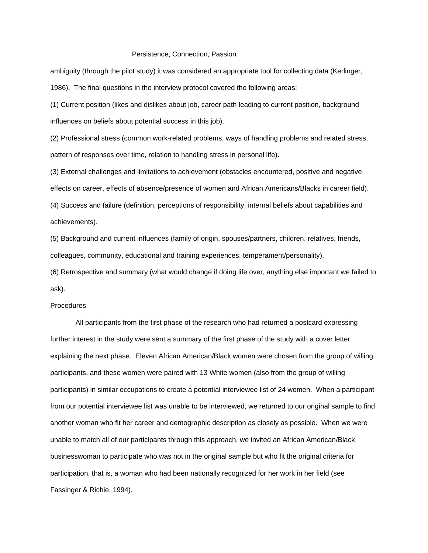ambiguity (through the pilot study) it was considered an appropriate tool for collecting data (Kerlinger, 1986). The final questions in the interview protocol covered the following areas:

(1) Current position (likes and dislikes about job, career path leading to current position, background influences on beliefs about potential success in this job).

(2) Professional stress (common work-related problems, ways of handling problems and related stress, pattern of responses over time, relation to handling stress in personal life).

(3) External challenges and limitations to achievement (obstacles encountered, positive and negative effects on career, effects of absence/presence of women and African Americans/Blacks in career field).

(4) Success and failure (definition, perceptions of responsibility, internal beliefs about capabilities and achievements).

(5) Background and current influences (family of origin, spouses/partners, children, relatives, friends, colleagues, community, educational and training experiences, temperament/personality).

(6) Retrospective and summary (what would change if doing life over, anything else important we failed to ask).

#### Procedures

 All participants from the first phase of the research who had returned a postcard expressing further interest in the study were sent a summary of the first phase of the study with a cover letter explaining the next phase. Eleven African American/Black women were chosen from the group of willing participants, and these women were paired with 13 White women (also from the group of willing participants) in similar occupations to create a potential interviewee list of 24 women. When a participant from our potential interviewee list was unable to be interviewed, we returned to our original sample to find another woman who fit her career and demographic description as closely as possible. When we were unable to match all of our participants through this approach, we invited an African American/Black businesswoman to participate who was not in the original sample but who fit the original criteria for participation, that is, a woman who had been nationally recognized for her work in her field (see Fassinger & Richie, 1994).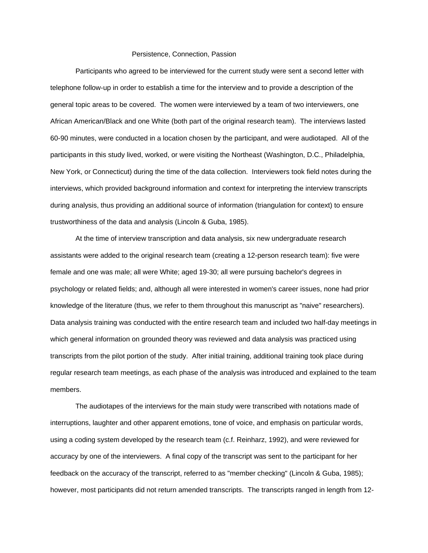Participants who agreed to be interviewed for the current study were sent a second letter with telephone follow-up in order to establish a time for the interview and to provide a description of the general topic areas to be covered. The women were interviewed by a team of two interviewers, one African American/Black and one White (both part of the original research team). The interviews lasted 60-90 minutes, were conducted in a location chosen by the participant, and were audiotaped. All of the participants in this study lived, worked, or were visiting the Northeast (Washington, D.C., Philadelphia, New York, or Connecticut) during the time of the data collection. Interviewers took field notes during the interviews, which provided background information and context for interpreting the interview transcripts during analysis, thus providing an additional source of information (triangulation for context) to ensure trustworthiness of the data and analysis (Lincoln & Guba, 1985).

 At the time of interview transcription and data analysis, six new undergraduate research assistants were added to the original research team (creating a 12-person research team): five were female and one was male; all were White; aged 19-30; all were pursuing bachelor's degrees in psychology or related fields; and, although all were interested in women's career issues, none had prior knowledge of the literature (thus, we refer to them throughout this manuscript as "naive" researchers). Data analysis training was conducted with the entire research team and included two half-day meetings in which general information on grounded theory was reviewed and data analysis was practiced using transcripts from the pilot portion of the study. After initial training, additional training took place during regular research team meetings, as each phase of the analysis was introduced and explained to the team members.

 The audiotapes of the interviews for the main study were transcribed with notations made of interruptions, laughter and other apparent emotions, tone of voice, and emphasis on particular words, using a coding system developed by the research team (c.f. Reinharz, 1992), and were reviewed for accuracy by one of the interviewers. A final copy of the transcript was sent to the participant for her feedback on the accuracy of the transcript, referred to as "member checking" (Lincoln & Guba, 1985); however, most participants did not return amended transcripts. The transcripts ranged in length from 12-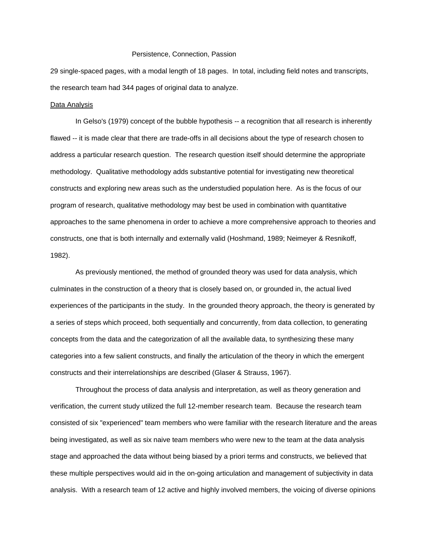29 single-spaced pages, with a modal length of 18 pages. In total, including field notes and transcripts, the research team had 344 pages of original data to analyze.

#### Data Analysis

In Gelso's (1979) concept of the bubble hypothesis -- a recognition that all research is inherently flawed -- it is made clear that there are trade-offs in all decisions about the type of research chosen to address a particular research question. The research question itself should determine the appropriate methodology. Qualitative methodology adds substantive potential for investigating new theoretical constructs and exploring new areas such as the understudied population here. As is the focus of our program of research, qualitative methodology may best be used in combination with quantitative approaches to the same phenomena in order to achieve a more comprehensive approach to theories and constructs, one that is both internally and externally valid (Hoshmand, 1989; Neimeyer & Resnikoff, 1982).

 As previously mentioned, the method of grounded theory was used for data analysis, which culminates in the construction of a theory that is closely based on, or grounded in, the actual lived experiences of the participants in the study. In the grounded theory approach, the theory is generated by a series of steps which proceed, both sequentially and concurrently, from data collection, to generating concepts from the data and the categorization of all the available data, to synthesizing these many categories into a few salient constructs, and finally the articulation of the theory in which the emergent constructs and their interrelationships are described (Glaser & Strauss, 1967).

 Throughout the process of data analysis and interpretation, as well as theory generation and verification, the current study utilized the full 12-member research team. Because the research team consisted of six "experienced" team members who were familiar with the research literature and the areas being investigated, as well as six naive team members who were new to the team at the data analysis stage and approached the data without being biased by a priori terms and constructs, we believed that these multiple perspectives would aid in the on-going articulation and management of subjectivity in data analysis. With a research team of 12 active and highly involved members, the voicing of diverse opinions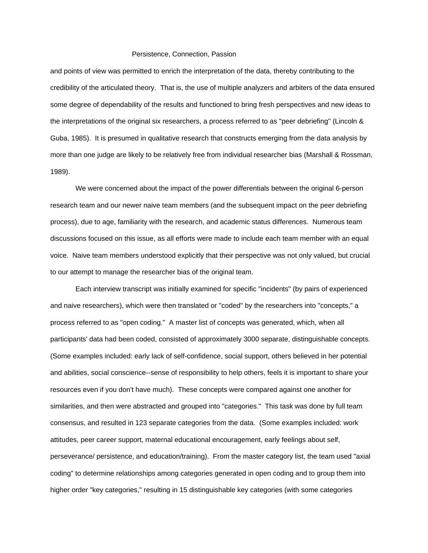and points of view was permitted to enrich the interpretation of the data, thereby contributing to the credibility of the articulated theory. That is, the use of multiple analyzers and arbiters of the data ensured some degree of dependability of the results and functioned to bring fresh perspectives and new ideas to the interpretations of the original six researchers, a process referred to as "peer debriefing" (Lincoln & Guba, 1985). It is presumed in qualitative research that constructs emerging from the data analysis by more than one judge are likely to be relatively free from individual researcher bias (Marshall & Rossman, 1989).

 We were concerned about the impact of the power differentials between the original 6-person research team and our newer naive team members (and the subsequent impact on the peer debriefing process), due to age, familiarity with the research, and academic status differences. Numerous team discussions focused on this issue, as all efforts were made to include each team member with an equal voice. Naive team members understood explicitly that their perspective was not only valued, but crucial to our attempt to manage the researcher bias of the original team.

 Each interview transcript was initially examined for specific "incidents" (by pairs of experienced and naive researchers), which were then translated or "coded" by the researchers into "concepts," a process referred to as "open coding." A master list of concepts was generated, which, when all participants' data had been coded, consisted of approximately 3000 separate, distinguishable concepts. (Some examples included: early lack of self-confidence, social support, others believed in her potential and abilities, social conscience--sense of responsibility to help others, feels it is important to share your resources even if you don't have much). These concepts were compared against one another for similarities, and then were abstracted and grouped into "categories." This task was done by full team consensus, and resulted in 123 separate categories from the data. (Some examples included: work attitudes, peer career support, maternal educational encouragement, early feelings about self, perseverance/ persistence, and education/training). From the master category list, the team used "axial coding" to determine relationships among categories generated in open coding and to group them into higher order "key categories," resulting in 15 distinguishable key categories (with some categories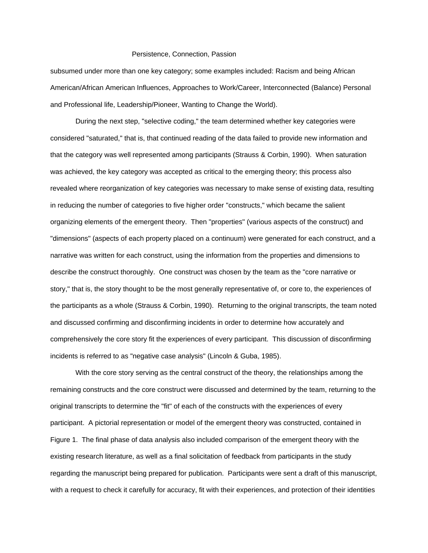subsumed under more than one key category; some examples included: Racism and being African American/African American Influences, Approaches to Work/Career, Interconnected (Balance) Personal and Professional life, Leadership/Pioneer, Wanting to Change the World).

 During the next step, "selective coding," the team determined whether key categories were considered "saturated," that is, that continued reading of the data failed to provide new information and that the category was well represented among participants (Strauss & Corbin, 1990). When saturation was achieved, the key category was accepted as critical to the emerging theory; this process also revealed where reorganization of key categories was necessary to make sense of existing data, resulting in reducing the number of categories to five higher order "constructs," which became the salient organizing elements of the emergent theory. Then "properties" (various aspects of the construct) and "dimensions" (aspects of each property placed on a continuum) were generated for each construct, and a narrative was written for each construct, using the information from the properties and dimensions to describe the construct thoroughly. One construct was chosen by the team as the "core narrative or story," that is, the story thought to be the most generally representative of, or core to, the experiences of the participants as a whole (Strauss & Corbin, 1990). Returning to the original transcripts, the team noted and discussed confirming and disconfirming incidents in order to determine how accurately and comprehensively the core story fit the experiences of every participant. This discussion of disconfirming incidents is referred to as "negative case analysis" (Lincoln & Guba, 1985).

 With the core story serving as the central construct of the theory, the relationships among the remaining constructs and the core construct were discussed and determined by the team, returning to the original transcripts to determine the "fit" of each of the constructs with the experiences of every participant. A pictorial representation or model of the emergent theory was constructed, contained in Figure 1. The final phase of data analysis also included comparison of the emergent theory with the existing research literature, as well as a final solicitation of feedback from participants in the study regarding the manuscript being prepared for publication. Participants were sent a draft of this manuscript, with a request to check it carefully for accuracy, fit with their experiences, and protection of their identities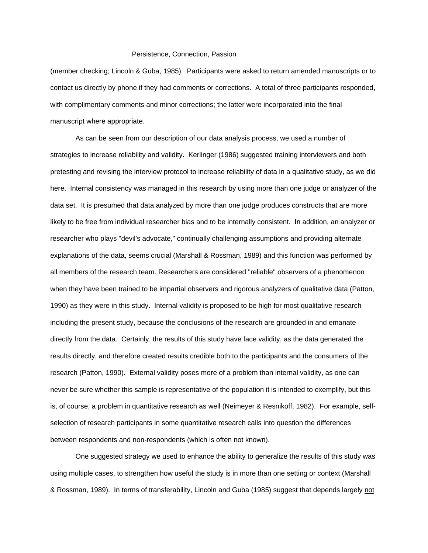(member checking; Lincoln & Guba, 1985). Participants were asked to return amended manuscripts or to contact us directly by phone if they had comments or corrections. A total of three participants responded, with complimentary comments and minor corrections; the latter were incorporated into the final manuscript where appropriate.

 As can be seen from our description of our data analysis process, we used a number of strategies to increase reliability and validity. Kerlinger (1986) suggested training interviewers and both pretesting and revising the interview protocol to increase reliability of data in a qualitative study, as we did here. Internal consistency was managed in this research by using more than one judge or analyzer of the data set. It is presumed that data analyzed by more than one judge produces constructs that are more likely to be free from individual researcher bias and to be internally consistent. In addition, an analyzer or researcher who plays "devil's advocate," continually challenging assumptions and providing alternate explanations of the data, seems crucial (Marshall & Rossman, 1989) and this function was performed by all members of the research team. Researchers are considered "reliable" observers of a phenomenon when they have been trained to be impartial observers and rigorous analyzers of qualitative data (Patton, 1990) as they were in this study. Internal validity is proposed to be high for most qualitative research including the present study, because the conclusions of the research are grounded in and emanate directly from the data. Certainly, the results of this study have face validity, as the data generated the results directly, and therefore created results credible both to the participants and the consumers of the research (Patton, 1990). External validity poses more of a problem than internal validity, as one can never be sure whether this sample is representative of the population it is intended to exemplify, but this is, of course, a problem in quantitative research as well (Neimeyer & Resnikoff, 1982). For example, selfselection of research participants in some quantitative research calls into question the differences between respondents and non-respondents (which is often not known).

 One suggested strategy we used to enhance the ability to generalize the results of this study was using multiple cases, to strengthen how useful the study is in more than one setting or context (Marshall & Rossman, 1989). In terms of transferability, Lincoln and Guba (1985) suggest that depends largely not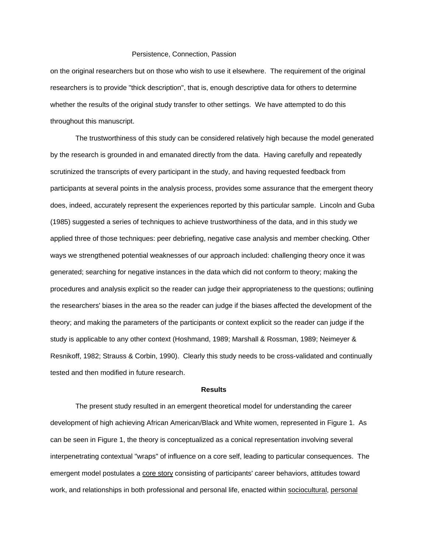on the original researchers but on those who wish to use it elsewhere. The requirement of the original researchers is to provide "thick description", that is, enough descriptive data for others to determine whether the results of the original study transfer to other settings. We have attempted to do this throughout this manuscript.

 The trustworthiness of this study can be considered relatively high because the model generated by the research is grounded in and emanated directly from the data. Having carefully and repeatedly scrutinized the transcripts of every participant in the study, and having requested feedback from participants at several points in the analysis process, provides some assurance that the emergent theory does, indeed, accurately represent the experiences reported by this particular sample. Lincoln and Guba (1985) suggested a series of techniques to achieve trustworthiness of the data, and in this study we applied three of those techniques: peer debriefing, negative case analysis and member checking. Other ways we strengthened potential weaknesses of our approach included: challenging theory once it was generated; searching for negative instances in the data which did not conform to theory; making the procedures and analysis explicit so the reader can judge their appropriateness to the questions; outlining the researchers' biases in the area so the reader can judge if the biases affected the development of the theory; and making the parameters of the participants or context explicit so the reader can judge if the study is applicable to any other context (Hoshmand, 1989; Marshall & Rossman, 1989; Neimeyer & Resnikoff, 1982; Strauss & Corbin, 1990). Clearly this study needs to be cross-validated and continually tested and then modified in future research.

## **Results**

 The present study resulted in an emergent theoretical model for understanding the career development of high achieving African American/Black and White women, represented in Figure 1. As can be seen in Figure 1, the theory is conceptualized as a conical representation involving several interpenetrating contextual "wraps" of influence on a core self, leading to particular consequences. The emergent model postulates a core story consisting of participants' career behaviors, attitudes toward work, and relationships in both professional and personal life, enacted within sociocultural, personal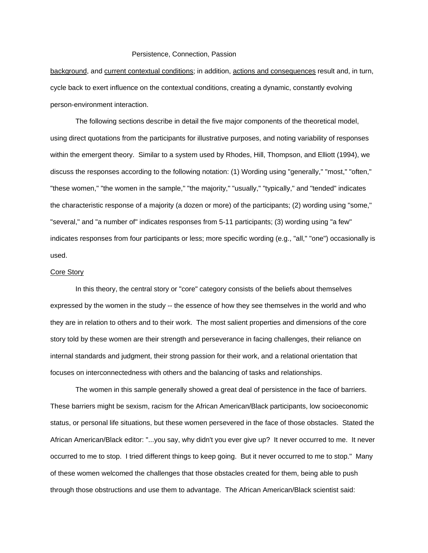background, and current contextual conditions; in addition, actions and consequences result and, in turn, cycle back to exert influence on the contextual conditions, creating a dynamic, constantly evolving person-environment interaction.

 The following sections describe in detail the five major components of the theoretical model, using direct quotations from the participants for illustrative purposes, and noting variability of responses within the emergent theory. Similar to a system used by Rhodes, Hill, Thompson, and Elliott (1994), we discuss the responses according to the following notation: (1) Wording using "generally," "most," "often," "these women," "the women in the sample," "the majority," "usually," "typically," and "tended" indicates the characteristic response of a majority (a dozen or more) of the participants; (2) wording using "some," "several," and "a number of" indicates responses from 5-11 participants; (3) wording using "a few" indicates responses from four participants or less; more specific wording (e.g., "all," "one") occasionally is used.

# Core Story

 In this theory, the central story or "core" category consists of the beliefs about themselves expressed by the women in the study -- the essence of how they see themselves in the world and who they are in relation to others and to their work. The most salient properties and dimensions of the core story told by these women are their strength and perseverance in facing challenges, their reliance on internal standards and judgment, their strong passion for their work, and a relational orientation that focuses on interconnectedness with others and the balancing of tasks and relationships.

 The women in this sample generally showed a great deal of persistence in the face of barriers. These barriers might be sexism, racism for the African American/Black participants, low socioeconomic status, or personal life situations, but these women persevered in the face of those obstacles. Stated the African American/Black editor: "...you say, why didn't you ever give up? It never occurred to me. It never occurred to me to stop. I tried different things to keep going. But it never occurred to me to stop." Many of these women welcomed the challenges that those obstacles created for them, being able to push through those obstructions and use them to advantage. The African American/Black scientist said: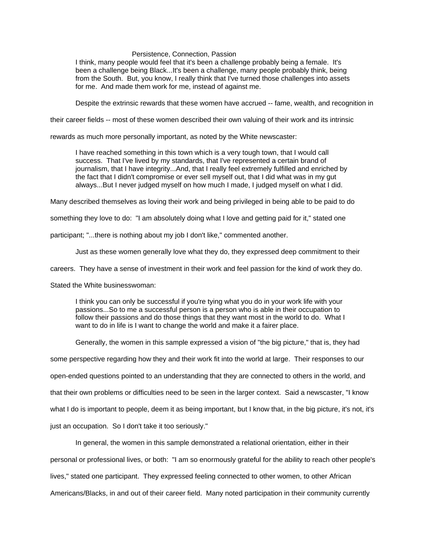I think, many people would feel that it's been a challenge probably being a female. It's been a challenge being Black...It's been a challenge, many people probably think, being from the South. But, you know, I really think that I've turned those challenges into assets for me. And made them work for me, instead of against me.

Despite the extrinsic rewards that these women have accrued -- fame, wealth, and recognition in

their career fields -- most of these women described their own valuing of their work and its intrinsic

rewards as much more personally important, as noted by the White newscaster:

 I have reached something in this town which is a very tough town, that I would call success. That I've lived by my standards, that I've represented a certain brand of journalism, that I have integrity...And, that I really feel extremely fulfilled and enriched by the fact that I didn't compromise or ever sell myself out, that I did what was in my gut always...But I never judged myself on how much I made, I judged myself on what I did.

Many described themselves as loving their work and being privileged in being able to be paid to do

something they love to do: "I am absolutely doing what I love and getting paid for it," stated one

participant; "...there is nothing about my job I don't like," commented another.

Just as these women generally love what they do, they expressed deep commitment to their

careers. They have a sense of investment in their work and feel passion for the kind of work they do.

Stated the White businesswoman:

I think you can only be successful if you're tying what you do in your work life with your passions...So to me a successful person is a person who is able in their occupation to follow their passions and do those things that they want most in the world to do. What I want to do in life is I want to change the world and make it a fairer place.

Generally, the women in this sample expressed a vision of "the big picture," that is, they had

some perspective regarding how they and their work fit into the world at large. Their responses to our

open-ended questions pointed to an understanding that they are connected to others in the world, and

that their own problems or difficulties need to be seen in the larger context. Said a newscaster, "I know

what I do is important to people, deem it as being important, but I know that, in the big picture, it's not, it's

just an occupation. So I don't take it too seriously."

In general, the women in this sample demonstrated a relational orientation, either in their

personal or professional lives, or both: "I am so enormously grateful for the ability to reach other people's

lives," stated one participant. They expressed feeling connected to other women, to other African

Americans/Blacks, in and out of their career field. Many noted participation in their community currently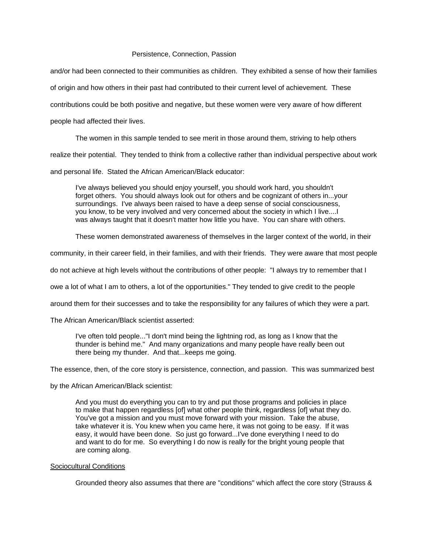and/or had been connected to their communities as children. They exhibited a sense of how their families of origin and how others in their past had contributed to their current level of achievement. These contributions could be both positive and negative, but these women were very aware of how different people had affected their lives.

The women in this sample tended to see merit in those around them, striving to help others

realize their potential. They tended to think from a collective rather than individual perspective about work

and personal life. Stated the African American/Black educator:

I've always believed you should enjoy yourself, you should work hard, you shouldn't forget others. You should always look out for others and be cognizant of others in...your surroundings. I've always been raised to have a deep sense of social consciousness, you know, to be very involved and very concerned about the society in which I live....I was always taught that it doesn't matter how little you have. You can share with others.

These women demonstrated awareness of themselves in the larger context of the world, in their

community, in their career field, in their families, and with their friends. They were aware that most people

do not achieve at high levels without the contributions of other people: "I always try to remember that I

owe a lot of what I am to others, a lot of the opportunities." They tended to give credit to the people

around them for their successes and to take the responsibility for any failures of which they were a part.

The African American/Black scientist asserted:

I've often told people..."I don't mind being the lightning rod, as long as I know that the thunder is behind me." And many organizations and many people have really been out there being my thunder. And that...keeps me going.

The essence, then, of the core story is persistence, connection, and passion. This was summarized best

by the African American/Black scientist:

And you must do everything you can to try and put those programs and policies in place to make that happen regardless [of] what other people think, regardless [of] what they do. You've got a mission and you must move forward with your mission. Take the abuse, take whatever it is. You knew when you came here, it was not going to be easy. If it was easy, it would have been done. So just go forward...I've done everything I need to do and want to do for me. So everything I do now is really for the bright young people that are coming along.

#### Sociocultural Conditions

Grounded theory also assumes that there are "conditions" which affect the core story (Strauss &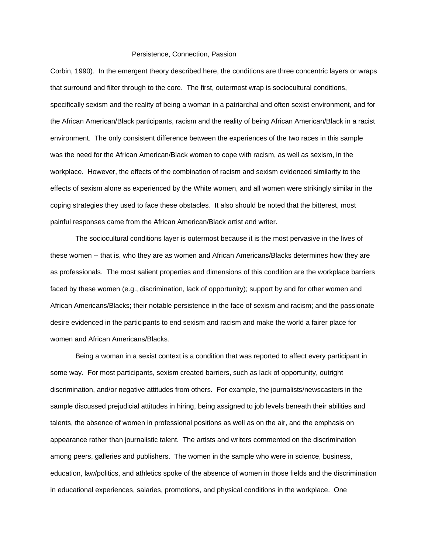Corbin, 1990). In the emergent theory described here, the conditions are three concentric layers or wraps that surround and filter through to the core. The first, outermost wrap is sociocultural conditions, specifically sexism and the reality of being a woman in a patriarchal and often sexist environment, and for the African American/Black participants, racism and the reality of being African American/Black in a racist environment. The only consistent difference between the experiences of the two races in this sample was the need for the African American/Black women to cope with racism, as well as sexism, in the workplace. However, the effects of the combination of racism and sexism evidenced similarity to the effects of sexism alone as experienced by the White women, and all women were strikingly similar in the coping strategies they used to face these obstacles. It also should be noted that the bitterest, most painful responses came from the African American/Black artist and writer.

 The sociocultural conditions layer is outermost because it is the most pervasive in the lives of these women -- that is, who they are as women and African Americans/Blacks determines how they are as professionals. The most salient properties and dimensions of this condition are the workplace barriers faced by these women (e.g., discrimination, lack of opportunity); support by and for other women and African Americans/Blacks; their notable persistence in the face of sexism and racism; and the passionate desire evidenced in the participants to end sexism and racism and make the world a fairer place for women and African Americans/Blacks.

 Being a woman in a sexist context is a condition that was reported to affect every participant in some way. For most participants, sexism created barriers, such as lack of opportunity, outright discrimination, and/or negative attitudes from others. For example, the journalists/newscasters in the sample discussed prejudicial attitudes in hiring, being assigned to job levels beneath their abilities and talents, the absence of women in professional positions as well as on the air, and the emphasis on appearance rather than journalistic talent. The artists and writers commented on the discrimination among peers, galleries and publishers. The women in the sample who were in science, business, education, law/politics, and athletics spoke of the absence of women in those fields and the discrimination in educational experiences, salaries, promotions, and physical conditions in the workplace. One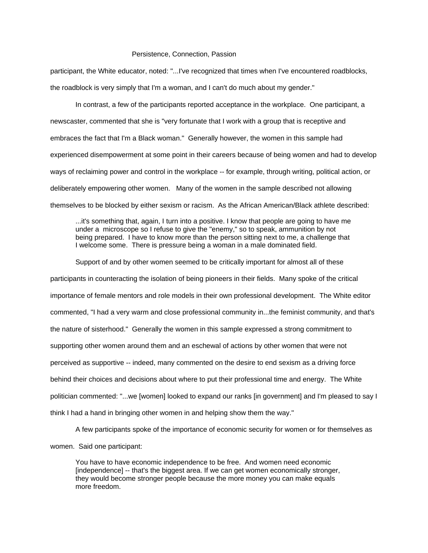participant, the White educator, noted: "...I've recognized that times when I've encountered roadblocks, the roadblock is very simply that I'm a woman, and I can't do much about my gender."

 In contrast, a few of the participants reported acceptance in the workplace. One participant, a newscaster, commented that she is "very fortunate that I work with a group that is receptive and embraces the fact that I'm a Black woman." Generally however, the women in this sample had experienced disempowerment at some point in their careers because of being women and had to develop ways of reclaiming power and control in the workplace -- for example, through writing, political action, or deliberately empowering other women. Many of the women in the sample described not allowing themselves to be blocked by either sexism or racism. As the African American/Black athlete described:

...it's something that, again, I turn into a positive. I know that people are going to have me under a microscope so I refuse to give the "enemy," so to speak, ammunition by not being prepared. I have to know more than the person sitting next to me, a challenge that I welcome some. There is pressure being a woman in a male dominated field.

 Support of and by other women seemed to be critically important for almost all of these participants in counteracting the isolation of being pioneers in their fields. Many spoke of the critical importance of female mentors and role models in their own professional development. The White editor commented, "I had a very warm and close professional community in...the feminist community, and that's the nature of sisterhood." Generally the women in this sample expressed a strong commitment to supporting other women around them and an eschewal of actions by other women that were not perceived as supportive -- indeed, many commented on the desire to end sexism as a driving force behind their choices and decisions about where to put their professional time and energy. The White politician commented: "...we [women] looked to expand our ranks [in government] and I'm pleased to say I think I had a hand in bringing other women in and helping show them the way."

A few participants spoke of the importance of economic security for women or for themselves as

women. Said one participant:

You have to have economic independence to be free. And women need economic [independence] -- that's the biggest area. If we can get women economically stronger, they would become stronger people because the more money you can make equals more freedom.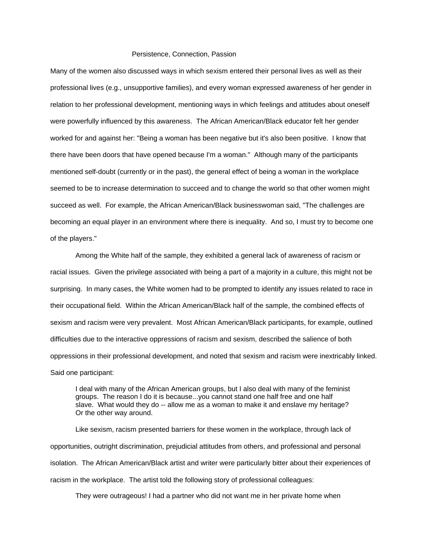Many of the women also discussed ways in which sexism entered their personal lives as well as their professional lives (e.g., unsupportive families), and every woman expressed awareness of her gender in relation to her professional development, mentioning ways in which feelings and attitudes about oneself were powerfully influenced by this awareness. The African American/Black educator felt her gender worked for and against her: "Being a woman has been negative but it's also been positive. I know that there have been doors that have opened because I'm a woman." Although many of the participants mentioned self-doubt (currently or in the past), the general effect of being a woman in the workplace seemed to be to increase determination to succeed and to change the world so that other women might succeed as well. For example, the African American/Black businesswoman said, "The challenges are becoming an equal player in an environment where there is inequality. And so, I must try to become one of the players."

 Among the White half of the sample, they exhibited a general lack of awareness of racism or racial issues. Given the privilege associated with being a part of a majority in a culture, this might not be surprising. In many cases, the White women had to be prompted to identify any issues related to race in their occupational field. Within the African American/Black half of the sample, the combined effects of sexism and racism were very prevalent. Most African American/Black participants, for example, outlined difficulties due to the interactive oppressions of racism and sexism, described the salience of both oppressions in their professional development, and noted that sexism and racism were inextricably linked. Said one participant:

I deal with many of the African American groups, but I also deal with many of the feminist groups. The reason I do it is because...you cannot stand one half free and one half slave. What would they do -- allow me as a woman to make it and enslave my heritage? Or the other way around.

 Like sexism, racism presented barriers for these women in the workplace, through lack of opportunities, outright discrimination, prejudicial attitudes from others, and professional and personal isolation. The African American/Black artist and writer were particularly bitter about their experiences of racism in the workplace. The artist told the following story of professional colleagues:

They were outrageous! I had a partner who did not want me in her private home when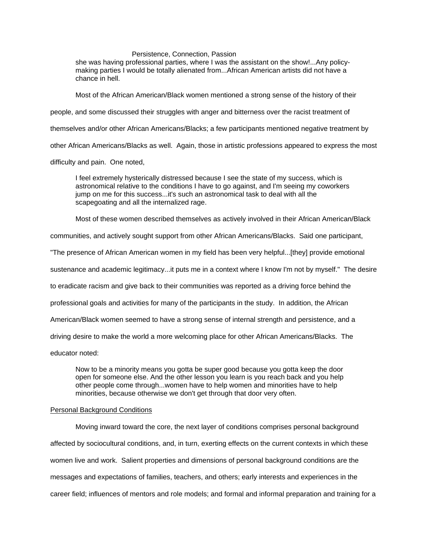she was having professional parties, where I was the assistant on the show!...Any policymaking parties I would be totally alienated from...African American artists did not have a chance in hell.

Most of the African American/Black women mentioned a strong sense of the history of their

people, and some discussed their struggles with anger and bitterness over the racist treatment of

themselves and/or other African Americans/Blacks; a few participants mentioned negative treatment by

other African Americans/Blacks as well. Again, those in artistic professions appeared to express the most

difficulty and pain. One noted,

I feel extremely hysterically distressed because I see the state of my success, which is astronomical relative to the conditions I have to go against, and I'm seeing my coworkers jump on me for this success...it's such an astronomical task to deal with all the scapegoating and all the internalized rage.

Most of these women described themselves as actively involved in their African American/Black

communities, and actively sought support from other African Americans/Blacks. Said one participant,

"The presence of African American women in my field has been very helpful...[they] provide emotional

sustenance and academic legitimacy...it puts me in a context where I know I'm not by myself." The desire

to eradicate racism and give back to their communities was reported as a driving force behind the

professional goals and activities for many of the participants in the study. In addition, the African

American/Black women seemed to have a strong sense of internal strength and persistence, and a

driving desire to make the world a more welcoming place for other African Americans/Blacks. The

educator noted:

Now to be a minority means you gotta be super good because you gotta keep the door open for someone else. And the other lesson you learn is you reach back and you help other people come through...women have to help women and minorities have to help minorities, because otherwise we don't get through that door very often.

#### Personal Background Conditions

 Moving inward toward the core, the next layer of conditions comprises personal background affected by sociocultural conditions, and, in turn, exerting effects on the current contexts in which these women live and work. Salient properties and dimensions of personal background conditions are the messages and expectations of families, teachers, and others; early interests and experiences in the career field; influences of mentors and role models; and formal and informal preparation and training for a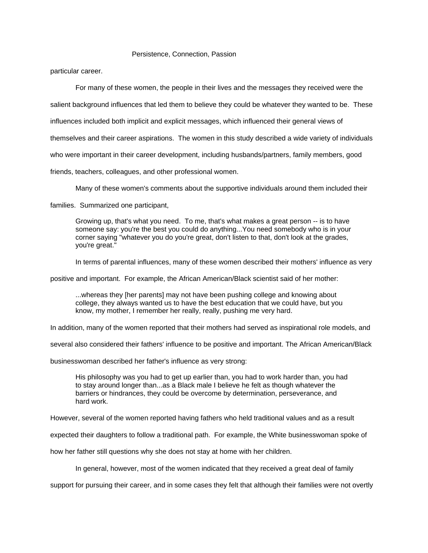particular career.

For many of these women, the people in their lives and the messages they received were the

salient background influences that led them to believe they could be whatever they wanted to be. These

influences included both implicit and explicit messages, which influenced their general views of

themselves and their career aspirations. The women in this study described a wide variety of individuals

who were important in their career development, including husbands/partners, family members, good

friends, teachers, colleagues, and other professional women.

Many of these women's comments about the supportive individuals around them included their

families. Summarized one participant,

Growing up, that's what you need. To me, that's what makes a great person -- is to have someone say: you're the best you could do anything...You need somebody who is in your corner saying "whatever you do you're great, don't listen to that, don't look at the grades, you're great."

In terms of parental influences, many of these women described their mothers' influence as very

positive and important. For example, the African American/Black scientist said of her mother:

...whereas they [her parents] may not have been pushing college and knowing about college, they always wanted us to have the best education that we could have, but you know, my mother, I remember her really, really, pushing me very hard.

In addition, many of the women reported that their mothers had served as inspirational role models, and

several also considered their fathers' influence to be positive and important. The African American/Black

businesswoman described her father's influence as very strong:

His philosophy was you had to get up earlier than, you had to work harder than, you had to stay around longer than...as a Black male I believe he felt as though whatever the barriers or hindrances, they could be overcome by determination, perseverance, and hard work.

However, several of the women reported having fathers who held traditional values and as a result

expected their daughters to follow a traditional path. For example, the White businesswoman spoke of

how her father still questions why she does not stay at home with her children.

In general, however, most of the women indicated that they received a great deal of family

support for pursuing their career, and in some cases they felt that although their families were not overtly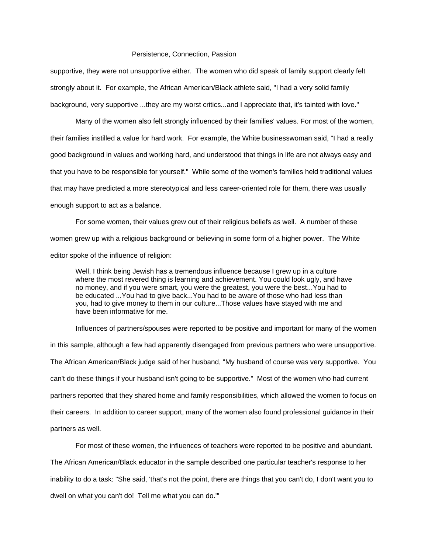supportive, they were not unsupportive either. The women who did speak of family support clearly felt strongly about it. For example, the African American/Black athlete said, "I had a very solid family background, very supportive ...they are my worst critics...and I appreciate that, it's tainted with love."

 Many of the women also felt strongly influenced by their families' values. For most of the women, their families instilled a value for hard work. For example, the White businesswoman said, "I had a really good background in values and working hard, and understood that things in life are not always easy and that you have to be responsible for yourself." While some of the women's families held traditional values that may have predicted a more stereotypical and less career-oriented role for them, there was usually enough support to act as a balance.

 For some women, their values grew out of their religious beliefs as well. A number of these women grew up with a religious background or believing in some form of a higher power. The White editor spoke of the influence of religion:

Well, I think being Jewish has a tremendous influence because I grew up in a culture where the most revered thing is learning and achievement. You could look ugly, and have no money, and if you were smart, you were the greatest, you were the best...You had to be educated ...You had to give back...You had to be aware of those who had less than you, had to give money to them in our culture...Those values have stayed with me and have been informative for me.

 Influences of partners/spouses were reported to be positive and important for many of the women in this sample, although a few had apparently disengaged from previous partners who were unsupportive. The African American/Black judge said of her husband, "My husband of course was very supportive. You can't do these things if your husband isn't going to be supportive." Most of the women who had current partners reported that they shared home and family responsibilities, which allowed the women to focus on their careers. In addition to career support, many of the women also found professional guidance in their partners as well.

 For most of these women, the influences of teachers were reported to be positive and abundant. The African American/Black educator in the sample described one particular teacher's response to her inability to do a task: "She said, 'that's not the point, there are things that you can't do, I don't want you to dwell on what you can't do! Tell me what you can do.'"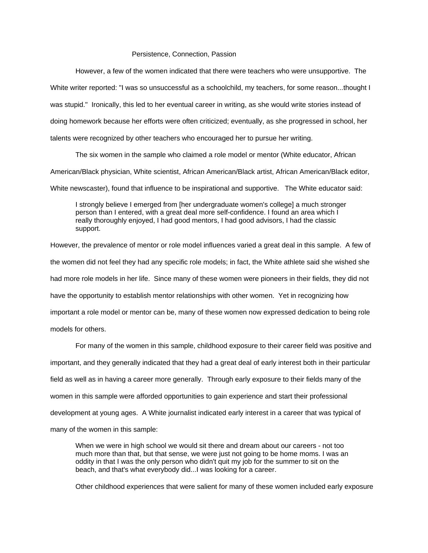However, a few of the women indicated that there were teachers who were unsupportive. The White writer reported: "I was so unsuccessful as a schoolchild, my teachers, for some reason...thought I was stupid." Ironically, this led to her eventual career in writing, as she would write stories instead of doing homework because her efforts were often criticized; eventually, as she progressed in school, her talents were recognized by other teachers who encouraged her to pursue her writing.

 The six women in the sample who claimed a role model or mentor (White educator, African American/Black physician, White scientist, African American/Black artist, African American/Black editor, White newscaster), found that influence to be inspirational and supportive. The White educator said:

I strongly believe I emerged from [her undergraduate women's college] a much stronger person than I entered, with a great deal more self-confidence. I found an area which I really thoroughly enjoyed, I had good mentors, I had good advisors, I had the classic support.

However, the prevalence of mentor or role model influences varied a great deal in this sample. A few of the women did not feel they had any specific role models; in fact, the White athlete said she wished she had more role models in her life. Since many of these women were pioneers in their fields, they did not have the opportunity to establish mentor relationships with other women. Yet in recognizing how important a role model or mentor can be, many of these women now expressed dedication to being role models for others.

 For many of the women in this sample, childhood exposure to their career field was positive and important, and they generally indicated that they had a great deal of early interest both in their particular field as well as in having a career more generally. Through early exposure to their fields many of the women in this sample were afforded opportunities to gain experience and start their professional development at young ages. A White journalist indicated early interest in a career that was typical of many of the women in this sample:

When we were in high school we would sit there and dream about our careers - not too much more than that, but that sense, we were just not going to be home moms. I was an oddity in that I was the only person who didn't quit my job for the summer to sit on the beach, and that's what everybody did...I was looking for a career.

Other childhood experiences that were salient for many of these women included early exposure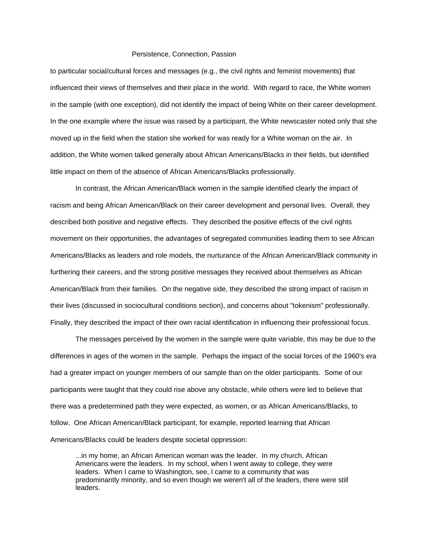to particular social/cultural forces and messages (e.g., the civil rights and feminist movements) that influenced their views of themselves and their place in the world. With regard to race, the White women in the sample (with one exception), did not identify the impact of being White on their career development. In the one example where the issue was raised by a participant, the White newscaster noted only that she moved up in the field when the station she worked for was ready for a White woman on the air. In addition, the White women talked generally about African Americans/Blacks in their fields, but identified little impact on them of the absence of African Americans/Blacks professionally.

 In contrast, the African American/Black women in the sample identified clearly the impact of racism and being African American/Black on their career development and personal lives. Overall, they described both positive and negative effects. They described the positive effects of the civil rights movement on their opportunities, the advantages of segregated communities leading them to see African Americans/Blacks as leaders and role models, the nurturance of the African American/Black community in furthering their careers, and the strong positive messages they received about themselves as African American/Black from their families. On the negative side, they described the strong impact of racism in their lives (discussed in sociocultural conditions section), and concerns about "tokenism" professionally. Finally, they described the impact of their own racial identification in influencing their professional focus.

 The messages perceived by the women in the sample were quite variable, this may be due to the differences in ages of the women in the sample. Perhaps the impact of the social forces of the 1960's era had a greater impact on younger members of our sample than on the older participants. Some of our participants were taught that they could rise above any obstacle, while others were led to believe that there was a predetermined path they were expected, as women, or as African Americans/Blacks, to follow. One African American/Black participant, for example, reported learning that African Americans/Blacks could be leaders despite societal oppression:

...in my home, an African American woman was the leader. In my church, African Americans were the leaders. In my school, when I went away to college, they were leaders. When I came to Washington, see, I came to a community that was predominantly minority, and so even though we weren't all of the leaders, there were still leaders.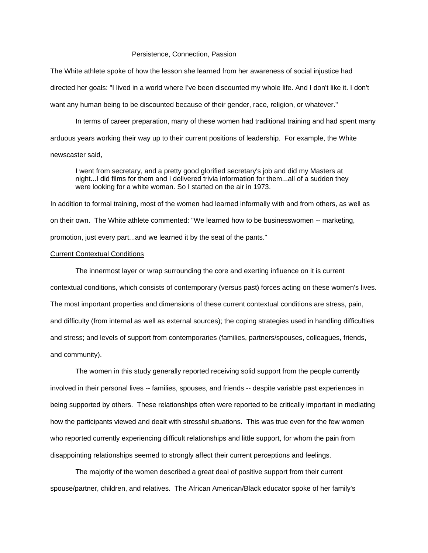The White athlete spoke of how the lesson she learned from her awareness of social injustice had directed her goals: "I lived in a world where I've been discounted my whole life. And I don't like it. I don't want any human being to be discounted because of their gender, race, religion, or whatever."

 In terms of career preparation, many of these women had traditional training and had spent many arduous years working their way up to their current positions of leadership. For example, the White newscaster said,

I went from secretary, and a pretty good glorified secretary's job and did my Masters at night...I did films for them and I delivered trivia information for them...all of a sudden they were looking for a white woman. So I started on the air in 1973.

In addition to formal training, most of the women had learned informally with and from others, as well as on their own. The White athlete commented: "We learned how to be businesswomen -- marketing, promotion, just every part...and we learned it by the seat of the pants."

## Current Contextual Conditions

 The innermost layer or wrap surrounding the core and exerting influence on it is current contextual conditions, which consists of contemporary (versus past) forces acting on these women's lives. The most important properties and dimensions of these current contextual conditions are stress, pain, and difficulty (from internal as well as external sources); the coping strategies used in handling difficulties and stress; and levels of support from contemporaries (families, partners/spouses, colleagues, friends, and community).

 The women in this study generally reported receiving solid support from the people currently involved in their personal lives -- families, spouses, and friends -- despite variable past experiences in being supported by others. These relationships often were reported to be critically important in mediating how the participants viewed and dealt with stressful situations. This was true even for the few women who reported currently experiencing difficult relationships and little support, for whom the pain from disappointing relationships seemed to strongly affect their current perceptions and feelings.

 The majority of the women described a great deal of positive support from their current spouse/partner, children, and relatives. The African American/Black educator spoke of her family's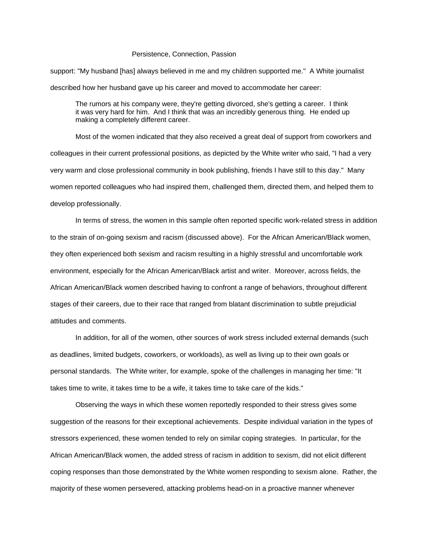support: "My husband [has] always believed in me and my children supported me." A White journalist described how her husband gave up his career and moved to accommodate her career:

The rumors at his company were, they're getting divorced, she's getting a career. I think it was very hard for him. And I think that was an incredibly generous thing. He ended up making a completely different career.

 Most of the women indicated that they also received a great deal of support from coworkers and colleagues in their current professional positions, as depicted by the White writer who said, "I had a very very warm and close professional community in book publishing, friends I have still to this day." Many women reported colleagues who had inspired them, challenged them, directed them, and helped them to develop professionally.

 In terms of stress, the women in this sample often reported specific work-related stress in addition to the strain of on-going sexism and racism (discussed above). For the African American/Black women, they often experienced both sexism and racism resulting in a highly stressful and uncomfortable work environment, especially for the African American/Black artist and writer. Moreover, across fields, the African American/Black women described having to confront a range of behaviors, throughout different stages of their careers, due to their race that ranged from blatant discrimination to subtle prejudicial attitudes and comments.

 In addition, for all of the women, other sources of work stress included external demands (such as deadlines, limited budgets, coworkers, or workloads), as well as living up to their own goals or personal standards. The White writer, for example, spoke of the challenges in managing her time: "It takes time to write, it takes time to be a wife, it takes time to take care of the kids."

 Observing the ways in which these women reportedly responded to their stress gives some suggestion of the reasons for their exceptional achievements. Despite individual variation in the types of stressors experienced, these women tended to rely on similar coping strategies. In particular, for the African American/Black women, the added stress of racism in addition to sexism, did not elicit different coping responses than those demonstrated by the White women responding to sexism alone. Rather, the majority of these women persevered, attacking problems head-on in a proactive manner whenever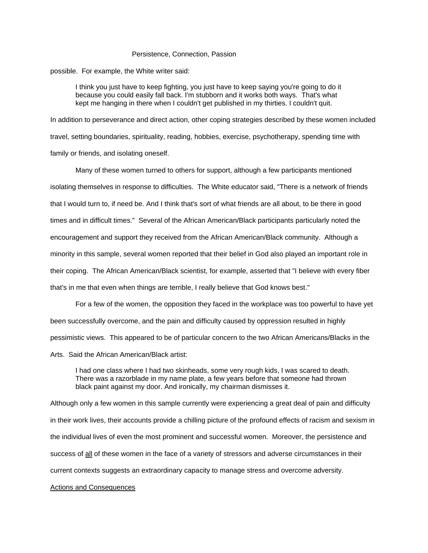possible. For example, the White writer said:

I think you just have to keep fighting, you just have to keep saying you're going to do it because you could easily fall back. I'm stubborn and it works both ways. That's what kept me hanging in there when I couldn't get published in my thirties. I couldn't quit.

In addition to perseverance and direct action, other coping strategies described by these women included travel, setting boundaries, spirituality, reading, hobbies, exercise, psychotherapy, spending time with family or friends, and isolating oneself.

 Many of these women turned to others for support, although a few participants mentioned isolating themselves in response to difficulties. The White educator said, "There is a network of friends that I would turn to, if need be. And I think that's sort of what friends are all about, to be there in good times and in difficult times." Several of the African American/Black participants particularly noted the encouragement and support they received from the African American/Black community. Although a minority in this sample, several women reported that their belief in God also played an important role in their coping. The African American/Black scientist, for example, asserted that "I believe with every fiber that's in me that even when things are terrible, I really believe that God knows best."

 For a few of the women, the opposition they faced in the workplace was too powerful to have yet been successfully overcome, and the pain and difficulty caused by oppression resulted in highly pessimistic views. This appeared to be of particular concern to the two African Americans/Blacks in the Arts. Said the African American/Black artist:

I had one class where I had two skinheads, some very rough kids, I was scared to death. There was a razorblade in my name plate, a few years before that someone had thrown black paint against my door. And ironically, my chairman dismisses it.

Although only a few women in this sample currently were experiencing a great deal of pain and difficulty in their work lives, their accounts provide a chilling picture of the profound effects of racism and sexism in the individual lives of even the most prominent and successful women. Moreover, the persistence and success of all of these women in the face of a variety of stressors and adverse circumstances in their current contexts suggests an extraordinary capacity to manage stress and overcome adversity.

## Actions and Consequences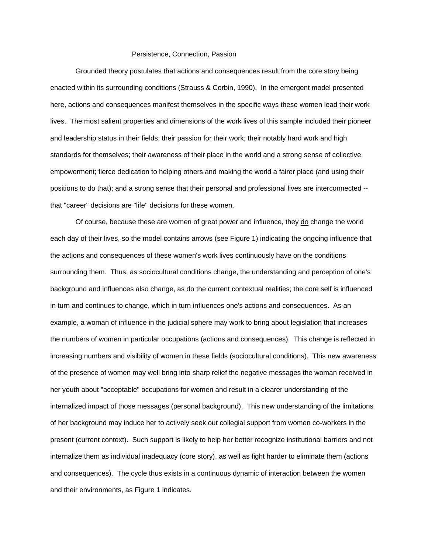Grounded theory postulates that actions and consequences result from the core story being enacted within its surrounding conditions (Strauss & Corbin, 1990). In the emergent model presented here, actions and consequences manifest themselves in the specific ways these women lead their work lives. The most salient properties and dimensions of the work lives of this sample included their pioneer and leadership status in their fields; their passion for their work; their notably hard work and high standards for themselves; their awareness of their place in the world and a strong sense of collective empowerment; fierce dedication to helping others and making the world a fairer place (and using their positions to do that); and a strong sense that their personal and professional lives are interconnected - that "career" decisions are "life" decisions for these women.

 Of course, because these are women of great power and influence, they do change the world each day of their lives, so the model contains arrows (see Figure 1) indicating the ongoing influence that the actions and consequences of these women's work lives continuously have on the conditions surrounding them. Thus, as sociocultural conditions change, the understanding and perception of one's background and influences also change, as do the current contextual realities; the core self is influenced in turn and continues to change, which in turn influences one's actions and consequences. As an example, a woman of influence in the judicial sphere may work to bring about legislation that increases the numbers of women in particular occupations (actions and consequences). This change is reflected in increasing numbers and visibility of women in these fields (sociocultural conditions). This new awareness of the presence of women may well bring into sharp relief the negative messages the woman received in her youth about "acceptable" occupations for women and result in a clearer understanding of the internalized impact of those messages (personal background). This new understanding of the limitations of her background may induce her to actively seek out collegial support from women co-workers in the present (current context). Such support is likely to help her better recognize institutional barriers and not internalize them as individual inadequacy (core story), as well as fight harder to eliminate them (actions and consequences). The cycle thus exists in a continuous dynamic of interaction between the women and their environments, as Figure 1 indicates.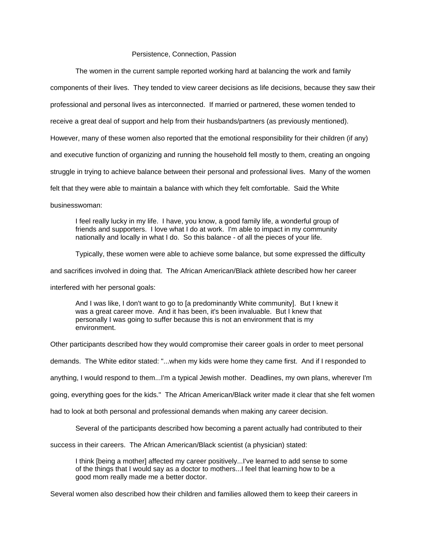The women in the current sample reported working hard at balancing the work and family components of their lives. They tended to view career decisions as life decisions, because they saw their professional and personal lives as interconnected. If married or partnered, these women tended to receive a great deal of support and help from their husbands/partners (as previously mentioned). However, many of these women also reported that the emotional responsibility for their children (if any) and executive function of organizing and running the household fell mostly to them, creating an ongoing struggle in trying to achieve balance between their personal and professional lives. Many of the women felt that they were able to maintain a balance with which they felt comfortable. Said the White

businesswoman:

 I feel really lucky in my life. I have, you know, a good family life, a wonderful group of friends and supporters. I love what I do at work. I'm able to impact in my community nationally and locally in what I do. So this balance - of all the pieces of your life.

Typically, these women were able to achieve some balance, but some expressed the difficulty

and sacrifices involved in doing that. The African American/Black athlete described how her career

interfered with her personal goals:

And I was like, I don't want to go to [a predominantly White community]. But I knew it was a great career move. And it has been, it's been invaluable. But I knew that personally I was going to suffer because this is not an environment that is my environment.

Other participants described how they would compromise their career goals in order to meet personal

demands. The White editor stated: "...when my kids were home they came first. And if I responded to

anything, I would respond to them...I'm a typical Jewish mother. Deadlines, my own plans, wherever I'm

going, everything goes for the kids." The African American/Black writer made it clear that she felt women

had to look at both personal and professional demands when making any career decision.

Several of the participants described how becoming a parent actually had contributed to their

success in their careers. The African American/Black scientist (a physician) stated:

I think [being a mother] affected my career positively...I've learned to add sense to some of the things that I would say as a doctor to mothers...I feel that learning how to be a good mom really made me a better doctor.

Several women also described how their children and families allowed them to keep their careers in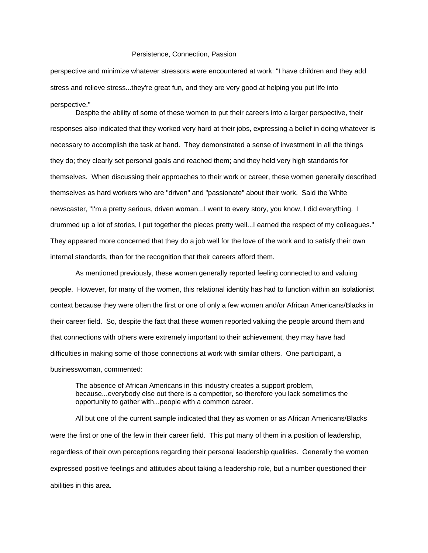perspective and minimize whatever stressors were encountered at work: "I have children and they add stress and relieve stress...they're great fun, and they are very good at helping you put life into perspective."

 Despite the ability of some of these women to put their careers into a larger perspective, their responses also indicated that they worked very hard at their jobs, expressing a belief in doing whatever is necessary to accomplish the task at hand. They demonstrated a sense of investment in all the things they do; they clearly set personal goals and reached them; and they held very high standards for themselves. When discussing their approaches to their work or career, these women generally described themselves as hard workers who are "driven" and "passionate" about their work. Said the White newscaster, "I'm a pretty serious, driven woman...I went to every story, you know, I did everything. I drummed up a lot of stories, I put together the pieces pretty well...I earned the respect of my colleagues." They appeared more concerned that they do a job well for the love of the work and to satisfy their own internal standards, than for the recognition that their careers afford them.

 As mentioned previously, these women generally reported feeling connected to and valuing people. However, for many of the women, this relational identity has had to function within an isolationist context because they were often the first or one of only a few women and/or African Americans/Blacks in their career field. So, despite the fact that these women reported valuing the people around them and that connections with others were extremely important to their achievement, they may have had difficulties in making some of those connections at work with similar others. One participant, a businesswoman, commented:

The absence of African Americans in this industry creates a support problem, because...everybody else out there is a competitor, so therefore you lack sometimes the opportunity to gather with...people with a common career.

 All but one of the current sample indicated that they as women or as African Americans/Blacks were the first or one of the few in their career field. This put many of them in a position of leadership, regardless of their own perceptions regarding their personal leadership qualities. Generally the women expressed positive feelings and attitudes about taking a leadership role, but a number questioned their abilities in this area.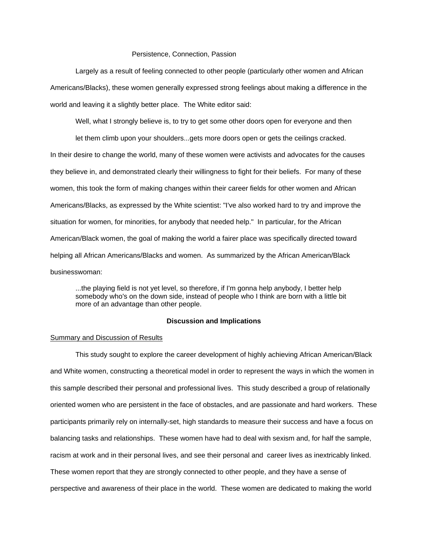Largely as a result of feeling connected to other people (particularly other women and African Americans/Blacks), these women generally expressed strong feelings about making a difference in the world and leaving it a slightly better place. The White editor said:

Well, what I strongly believe is, to try to get some other doors open for everyone and then

let them climb upon your shoulders...gets more doors open or gets the ceilings cracked. In their desire to change the world, many of these women were activists and advocates for the causes they believe in, and demonstrated clearly their willingness to fight for their beliefs. For many of these women, this took the form of making changes within their career fields for other women and African Americans/Blacks, as expressed by the White scientist: "I've also worked hard to try and improve the situation for women, for minorities, for anybody that needed help." In particular, for the African American/Black women, the goal of making the world a fairer place was specifically directed toward helping all African Americans/Blacks and women. As summarized by the African American/Black businesswoman:

...the playing field is not yet level, so therefore, if I'm gonna help anybody, I better help somebody who's on the down side, instead of people who I think are born with a little bit more of an advantage than other people.

## **Discussion and Implications**

## **Summary and Discussion of Results**

 This study sought to explore the career development of highly achieving African American/Black and White women, constructing a theoretical model in order to represent the ways in which the women in this sample described their personal and professional lives. This study described a group of relationally oriented women who are persistent in the face of obstacles, and are passionate and hard workers. These participants primarily rely on internally-set, high standards to measure their success and have a focus on balancing tasks and relationships. These women have had to deal with sexism and, for half the sample, racism at work and in their personal lives, and see their personal and career lives as inextricably linked. These women report that they are strongly connected to other people, and they have a sense of perspective and awareness of their place in the world. These women are dedicated to making the world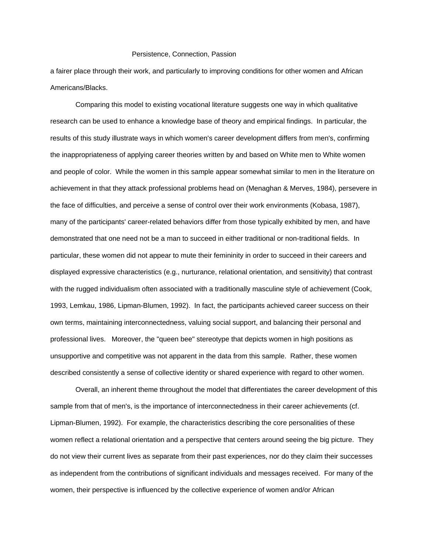a fairer place through their work, and particularly to improving conditions for other women and African Americans/Blacks.

 Comparing this model to existing vocational literature suggests one way in which qualitative research can be used to enhance a knowledge base of theory and empirical findings. In particular, the results of this study illustrate ways in which women's career development differs from men's, confirming the inappropriateness of applying career theories written by and based on White men to White women and people of color. While the women in this sample appear somewhat similar to men in the literature on achievement in that they attack professional problems head on (Menaghan & Merves, 1984), persevere in the face of difficulties, and perceive a sense of control over their work environments (Kobasa, 1987), many of the participants' career-related behaviors differ from those typically exhibited by men, and have demonstrated that one need not be a man to succeed in either traditional or non-traditional fields. In particular, these women did not appear to mute their femininity in order to succeed in their careers and displayed expressive characteristics (e.g., nurturance, relational orientation, and sensitivity) that contrast with the rugged individualism often associated with a traditionally masculine style of achievement (Cook, 1993, Lemkau, 1986, Lipman-Blumen, 1992). In fact, the participants achieved career success on their own terms, maintaining interconnectedness, valuing social support, and balancing their personal and professional lives. Moreover, the "queen bee" stereotype that depicts women in high positions as unsupportive and competitive was not apparent in the data from this sample. Rather, these women described consistently a sense of collective identity or shared experience with regard to other women.

 Overall, an inherent theme throughout the model that differentiates the career development of this sample from that of men's, is the importance of interconnectedness in their career achievements (cf. Lipman-Blumen, 1992). For example, the characteristics describing the core personalities of these women reflect a relational orientation and a perspective that centers around seeing the big picture. They do not view their current lives as separate from their past experiences, nor do they claim their successes as independent from the contributions of significant individuals and messages received. For many of the women, their perspective is influenced by the collective experience of women and/or African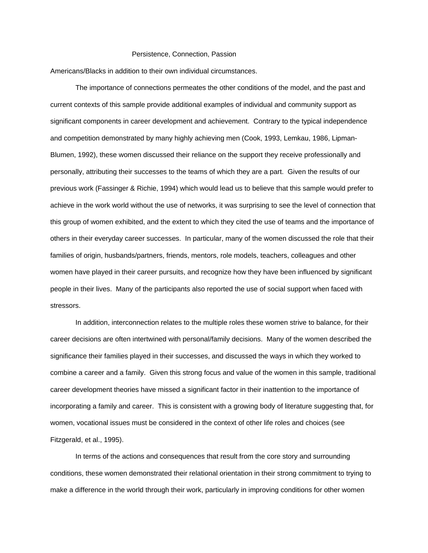Americans/Blacks in addition to their own individual circumstances.

 The importance of connections permeates the other conditions of the model, and the past and current contexts of this sample provide additional examples of individual and community support as significant components in career development and achievement. Contrary to the typical independence and competition demonstrated by many highly achieving men (Cook, 1993, Lemkau, 1986, Lipman-Blumen, 1992), these women discussed their reliance on the support they receive professionally and personally, attributing their successes to the teams of which they are a part. Given the results of our previous work (Fassinger & Richie, 1994) which would lead us to believe that this sample would prefer to achieve in the work world without the use of networks, it was surprising to see the level of connection that this group of women exhibited, and the extent to which they cited the use of teams and the importance of others in their everyday career successes. In particular, many of the women discussed the role that their families of origin, husbands/partners, friends, mentors, role models, teachers, colleagues and other women have played in their career pursuits, and recognize how they have been influenced by significant people in their lives. Many of the participants also reported the use of social support when faced with stressors.

 In addition, interconnection relates to the multiple roles these women strive to balance, for their career decisions are often intertwined with personal/family decisions. Many of the women described the significance their families played in their successes, and discussed the ways in which they worked to combine a career and a family. Given this strong focus and value of the women in this sample, traditional career development theories have missed a significant factor in their inattention to the importance of incorporating a family and career. This is consistent with a growing body of literature suggesting that, for women, vocational issues must be considered in the context of other life roles and choices (see Fitzgerald, et al., 1995).

 In terms of the actions and consequences that result from the core story and surrounding conditions, these women demonstrated their relational orientation in their strong commitment to trying to make a difference in the world through their work, particularly in improving conditions for other women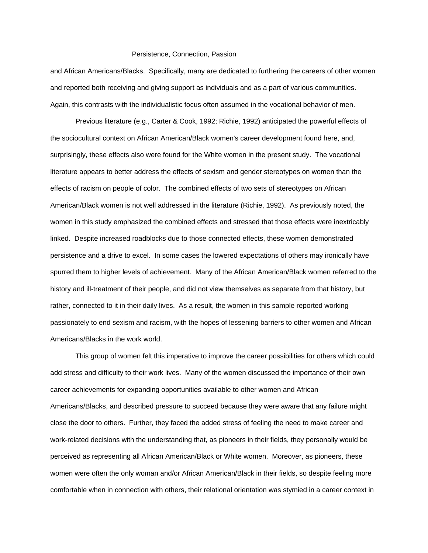and African Americans/Blacks. Specifically, many are dedicated to furthering the careers of other women and reported both receiving and giving support as individuals and as a part of various communities. Again, this contrasts with the individualistic focus often assumed in the vocational behavior of men.

 Previous literature (e.g., Carter & Cook, 1992; Richie, 1992) anticipated the powerful effects of the sociocultural context on African American/Black women's career development found here, and, surprisingly, these effects also were found for the White women in the present study. The vocational literature appears to better address the effects of sexism and gender stereotypes on women than the effects of racism on people of color. The combined effects of two sets of stereotypes on African American/Black women is not well addressed in the literature (Richie, 1992). As previously noted, the women in this study emphasized the combined effects and stressed that those effects were inextricably linked. Despite increased roadblocks due to those connected effects, these women demonstrated persistence and a drive to excel. In some cases the lowered expectations of others may ironically have spurred them to higher levels of achievement. Many of the African American/Black women referred to the history and ill-treatment of their people, and did not view themselves as separate from that history, but rather, connected to it in their daily lives. As a result, the women in this sample reported working passionately to end sexism and racism, with the hopes of lessening barriers to other women and African Americans/Blacks in the work world.

 This group of women felt this imperative to improve the career possibilities for others which could add stress and difficulty to their work lives. Many of the women discussed the importance of their own career achievements for expanding opportunities available to other women and African Americans/Blacks, and described pressure to succeed because they were aware that any failure might close the door to others. Further, they faced the added stress of feeling the need to make career and work-related decisions with the understanding that, as pioneers in their fields, they personally would be perceived as representing all African American/Black or White women. Moreover, as pioneers, these women were often the only woman and/or African American/Black in their fields, so despite feeling more comfortable when in connection with others, their relational orientation was stymied in a career context in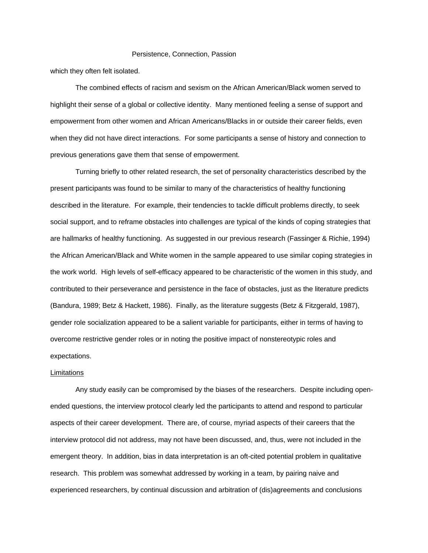which they often felt isolated.

 The combined effects of racism and sexism on the African American/Black women served to highlight their sense of a global or collective identity. Many mentioned feeling a sense of support and empowerment from other women and African Americans/Blacks in or outside their career fields, even when they did not have direct interactions. For some participants a sense of history and connection to previous generations gave them that sense of empowerment.

 Turning briefly to other related research, the set of personality characteristics described by the present participants was found to be similar to many of the characteristics of healthy functioning described in the literature. For example, their tendencies to tackle difficult problems directly, to seek social support, and to reframe obstacles into challenges are typical of the kinds of coping strategies that are hallmarks of healthy functioning. As suggested in our previous research (Fassinger & Richie, 1994) the African American/Black and White women in the sample appeared to use similar coping strategies in the work world. High levels of self-efficacy appeared to be characteristic of the women in this study, and contributed to their perseverance and persistence in the face of obstacles, just as the literature predicts (Bandura, 1989; Betz & Hackett, 1986). Finally, as the literature suggests (Betz & Fitzgerald, 1987), gender role socialization appeared to be a salient variable for participants, either in terms of having to overcome restrictive gender roles or in noting the positive impact of nonstereotypic roles and expectations.

# Limitations

 Any study easily can be compromised by the biases of the researchers. Despite including openended questions, the interview protocol clearly led the participants to attend and respond to particular aspects of their career development. There are, of course, myriad aspects of their careers that the interview protocol did not address, may not have been discussed, and, thus, were not included in the emergent theory. In addition, bias in data interpretation is an oft-cited potential problem in qualitative research. This problem was somewhat addressed by working in a team, by pairing naive and experienced researchers, by continual discussion and arbitration of (dis)agreements and conclusions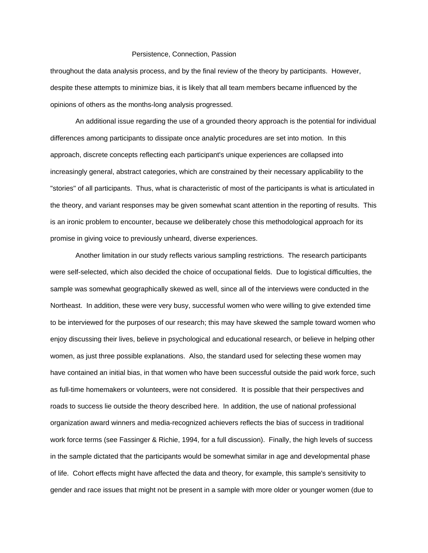throughout the data analysis process, and by the final review of the theory by participants. However, despite these attempts to minimize bias, it is likely that all team members became influenced by the opinions of others as the months-long analysis progressed.

 An additional issue regarding the use of a grounded theory approach is the potential for individual differences among participants to dissipate once analytic procedures are set into motion. In this approach, discrete concepts reflecting each participant's unique experiences are collapsed into increasingly general, abstract categories, which are constrained by their necessary applicability to the "stories" of all participants. Thus, what is characteristic of most of the participants is what is articulated in the theory, and variant responses may be given somewhat scant attention in the reporting of results. This is an ironic problem to encounter, because we deliberately chose this methodological approach for its promise in giving voice to previously unheard, diverse experiences.

 Another limitation in our study reflects various sampling restrictions. The research participants were self-selected, which also decided the choice of occupational fields. Due to logistical difficulties, the sample was somewhat geographically skewed as well, since all of the interviews were conducted in the Northeast. In addition, these were very busy, successful women who were willing to give extended time to be interviewed for the purposes of our research; this may have skewed the sample toward women who enjoy discussing their lives, believe in psychological and educational research, or believe in helping other women, as just three possible explanations. Also, the standard used for selecting these women may have contained an initial bias, in that women who have been successful outside the paid work force, such as full-time homemakers or volunteers, were not considered. It is possible that their perspectives and roads to success lie outside the theory described here. In addition, the use of national professional organization award winners and media-recognized achievers reflects the bias of success in traditional work force terms (see Fassinger & Richie, 1994, for a full discussion). Finally, the high levels of success in the sample dictated that the participants would be somewhat similar in age and developmental phase of life. Cohort effects might have affected the data and theory, for example, this sample's sensitivity to gender and race issues that might not be present in a sample with more older or younger women (due to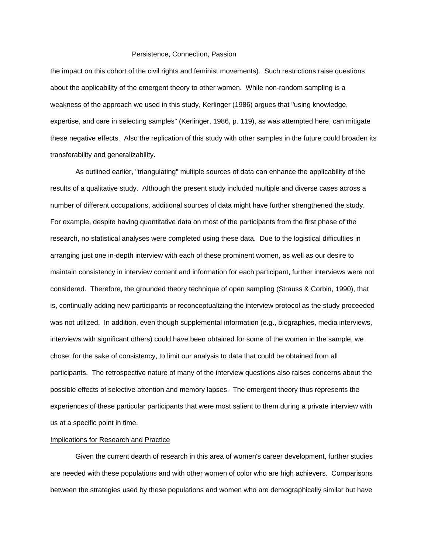the impact on this cohort of the civil rights and feminist movements). Such restrictions raise questions about the applicability of the emergent theory to other women. While non-random sampling is a weakness of the approach we used in this study, Kerlinger (1986) argues that "using knowledge, expertise, and care in selecting samples" (Kerlinger, 1986, p. 119), as was attempted here, can mitigate these negative effects. Also the replication of this study with other samples in the future could broaden its transferability and generalizability.

 As outlined earlier, "triangulating" multiple sources of data can enhance the applicability of the results of a qualitative study. Although the present study included multiple and diverse cases across a number of different occupations, additional sources of data might have further strengthened the study. For example, despite having quantitative data on most of the participants from the first phase of the research, no statistical analyses were completed using these data. Due to the logistical difficulties in arranging just one in-depth interview with each of these prominent women, as well as our desire to maintain consistency in interview content and information for each participant, further interviews were not considered. Therefore, the grounded theory technique of open sampling (Strauss & Corbin, 1990), that is, continually adding new participants or reconceptualizing the interview protocol as the study proceeded was not utilized. In addition, even though supplemental information (e.g., biographies, media interviews, interviews with significant others) could have been obtained for some of the women in the sample, we chose, for the sake of consistency, to limit our analysis to data that could be obtained from all participants. The retrospective nature of many of the interview questions also raises concerns about the possible effects of selective attention and memory lapses. The emergent theory thus represents the experiences of these particular participants that were most salient to them during a private interview with us at a specific point in time.

## Implications for Research and Practice

 Given the current dearth of research in this area of women's career development, further studies are needed with these populations and with other women of color who are high achievers. Comparisons between the strategies used by these populations and women who are demographically similar but have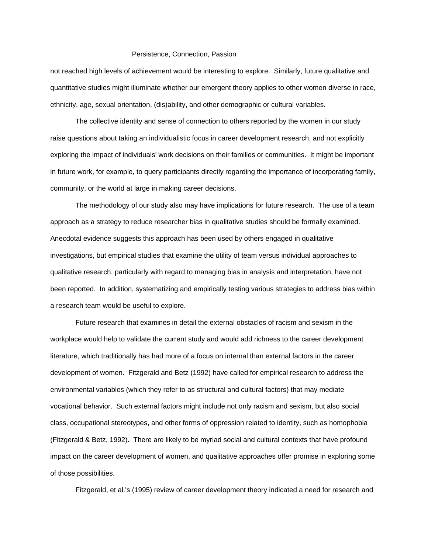not reached high levels of achievement would be interesting to explore. Similarly, future qualitative and quantitative studies might illuminate whether our emergent theory applies to other women diverse in race, ethnicity, age, sexual orientation, (dis)ability, and other demographic or cultural variables.

 The collective identity and sense of connection to others reported by the women in our study raise questions about taking an individualistic focus in career development research, and not explicitly exploring the impact of individuals' work decisions on their families or communities. It might be important in future work, for example, to query participants directly regarding the importance of incorporating family, community, or the world at large in making career decisions.

 The methodology of our study also may have implications for future research. The use of a team approach as a strategy to reduce researcher bias in qualitative studies should be formally examined. Anecdotal evidence suggests this approach has been used by others engaged in qualitative investigations, but empirical studies that examine the utility of team versus individual approaches to qualitative research, particularly with regard to managing bias in analysis and interpretation, have not been reported. In addition, systematizing and empirically testing various strategies to address bias within a research team would be useful to explore.

 Future research that examines in detail the external obstacles of racism and sexism in the workplace would help to validate the current study and would add richness to the career development literature, which traditionally has had more of a focus on internal than external factors in the career development of women. Fitzgerald and Betz (1992) have called for empirical research to address the environmental variables (which they refer to as structural and cultural factors) that may mediate vocational behavior. Such external factors might include not only racism and sexism, but also social class, occupational stereotypes, and other forms of oppression related to identity, such as homophobia (Fitzgerald & Betz, 1992). There are likely to be myriad social and cultural contexts that have profound impact on the career development of women, and qualitative approaches offer promise in exploring some of those possibilities.

Fitzgerald, et al.'s (1995) review of career development theory indicated a need for research and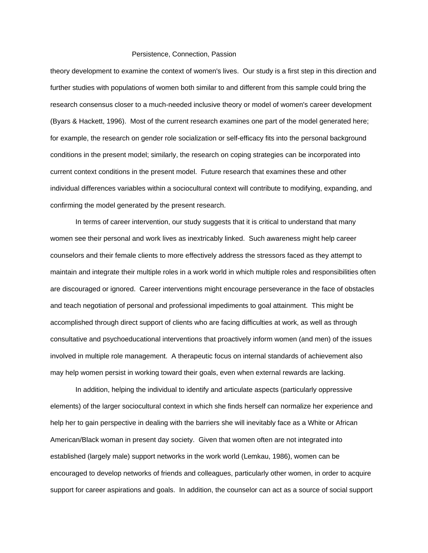theory development to examine the context of women's lives. Our study is a first step in this direction and further studies with populations of women both similar to and different from this sample could bring the research consensus closer to a much-needed inclusive theory or model of women's career development (Byars & Hackett, 1996). Most of the current research examines one part of the model generated here; for example, the research on gender role socialization or self-efficacy fits into the personal background conditions in the present model; similarly, the research on coping strategies can be incorporated into current context conditions in the present model. Future research that examines these and other individual differences variables within a sociocultural context will contribute to modifying, expanding, and confirming the model generated by the present research.

 In terms of career intervention, our study suggests that it is critical to understand that many women see their personal and work lives as inextricably linked. Such awareness might help career counselors and their female clients to more effectively address the stressors faced as they attempt to maintain and integrate their multiple roles in a work world in which multiple roles and responsibilities often are discouraged or ignored. Career interventions might encourage perseverance in the face of obstacles and teach negotiation of personal and professional impediments to goal attainment. This might be accomplished through direct support of clients who are facing difficulties at work, as well as through consultative and psychoeducational interventions that proactively inform women (and men) of the issues involved in multiple role management. A therapeutic focus on internal standards of achievement also may help women persist in working toward their goals, even when external rewards are lacking.

 In addition, helping the individual to identify and articulate aspects (particularly oppressive elements) of the larger sociocultural context in which she finds herself can normalize her experience and help her to gain perspective in dealing with the barriers she will inevitably face as a White or African American/Black woman in present day society. Given that women often are not integrated into established (largely male) support networks in the work world (Lemkau, 1986), women can be encouraged to develop networks of friends and colleagues, particularly other women, in order to acquire support for career aspirations and goals. In addition, the counselor can act as a source of social support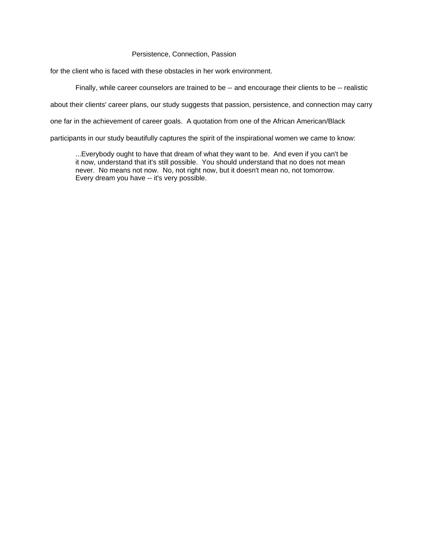for the client who is faced with these obstacles in her work environment.

Finally, while career counselors are trained to be -- and encourage their clients to be -- realistic

about their clients' career plans, our study suggests that passion, persistence, and connection may carry

one far in the achievement of career goals. A quotation from one of the African American/Black

participants in our study beautifully captures the spirit of the inspirational women we came to know:

...Everybody ought to have that dream of what they want to be. And even if you can't be it now, understand that it's still possible. You should understand that no does not mean never. No means not now. No, not right now, but it doesn't mean no, not tomorrow. Every dream you have -- it's very possible.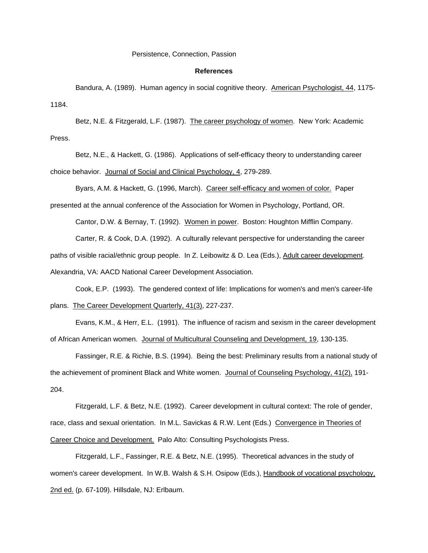## **References**

 Bandura, A. (1989). Human agency in social cognitive theory. American Psychologist, 44, 1175- 1184.

 Betz, N.E. & Fitzgerald, L.F. (1987). The career psychology of women. New York: Academic Press.

 Betz, N.E., & Hackett, G. (1986). Applications of self-efficacy theory to understanding career choice behavior. Journal of Social and Clinical Psychology, 4, 279-289.

 Byars, A.M. & Hackett, G. (1996, March). Career self-efficacy and women of color. Paper presented at the annual conference of the Association for Women in Psychology, Portland, OR.

Cantor, D.W. & Bernay, T. (1992). Women in power. Boston: Houghton Mifflin Company.

Carter, R. & Cook, D.A. (1992). A culturally relevant perspective for understanding the career

paths of visible racial/ethnic group people. In Z. Leibowitz & D. Lea (Eds.), Adult career development.

Alexandria, VA: AACD National Career Development Association.

 Cook, E.P. (1993). The gendered context of life: Implications for women's and men's career-life plans. The Career Development Quarterly, 41(3), 227-237.

 Evans, K.M., & Herr, E.L. (1991). The influence of racism and sexism in the career development of African American women. Journal of Multicultural Counseling and Development, 19, 130-135.

 Fassinger, R.E. & Richie, B.S. (1994). Being the best: Preliminary results from a national study of the achievement of prominent Black and White women. Journal of Counseling Psychology, 41(2), 191- 204.

 Fitzgerald, L.F. & Betz, N.E. (1992). Career development in cultural context: The role of gender, race, class and sexual orientation. In M.L. Savickas & R.W. Lent (Eds.) Convergence in Theories of Career Choice and Development. Palo Alto: Consulting Psychologists Press.

 Fitzgerald, L.F., Fassinger, R.E. & Betz, N.E. (1995). Theoretical advances in the study of women's career development. In W.B. Walsh & S.H. Osipow (Eds.), Handbook of vocational psychology, 2nd ed. (p. 67-109). Hillsdale, NJ: Erlbaum.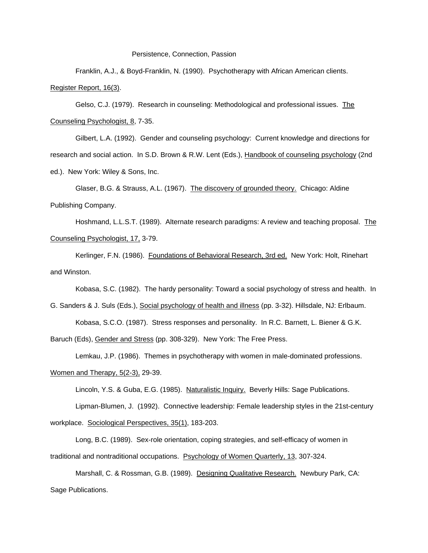Franklin, A.J., & Boyd-Franklin, N. (1990). Psychotherapy with African American clients. Register Report, 16(3).

 Gelso, C.J. (1979). Research in counseling: Methodological and professional issues. The Counseling Psychologist, 8, 7-35.

 Gilbert, L.A. (1992). Gender and counseling psychology: Current knowledge and directions for research and social action. In S.D. Brown & R.W. Lent (Eds.), Handbook of counseling psychology (2nd ed.). New York: Wiley & Sons, Inc.

 Glaser, B.G. & Strauss, A.L. (1967). The discovery of grounded theory. Chicago: Aldine Publishing Company.

 Hoshmand, L.L.S.T. (1989). Alternate research paradigms: A review and teaching proposal. The Counseling Psychologist, 17, 3-79.

 Kerlinger, F.N. (1986). Foundations of Behavioral Research, 3rd ed. New York: Holt, Rinehart and Winston.

Kobasa, S.C. (1982). The hardy personality: Toward a social psychology of stress and health. In

G. Sanders & J. Suls (Eds.), Social psychology of health and illness (pp. 3-32). Hillsdale, NJ: Erlbaum.

Kobasa, S.C.O. (1987). Stress responses and personality. In R.C. Barnett, L. Biener & G.K.

Baruch (Eds), Gender and Stress (pp. 308-329). New York: The Free Press.

Lemkau, J.P. (1986). Themes in psychotherapy with women in male-dominated professions.

Women and Therapy, 5(2-3), 29-39.

Lincoln, Y.S. & Guba, E.G. (1985). Naturalistic Inquiry. Beverly Hills: Sage Publications.

 Lipman-Blumen, J. (1992). Connective leadership: Female leadership styles in the 21st-century workplace. Sociological Perspectives, 35(1), 183-203.

 Long, B.C. (1989). Sex-role orientation, coping strategies, and self-efficacy of women in traditional and nontraditional occupations. Psychology of Women Quarterly, 13, 307-324.

 Marshall, C. & Rossman, G.B. (1989). Designing Qualitative Research. Newbury Park, CA: Sage Publications.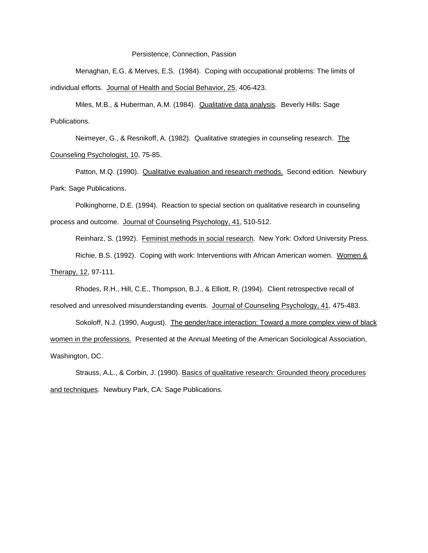Menaghan, E.G. & Merves, E.S. (1984). Coping with occupational problems: The limits of individual efforts. Journal of Health and Social Behavior, 25, 406-423.

 Miles, M.B., & Huberman, A.M. (1984). Qualitative data analysis. Beverly Hills: Sage Publications.

 Neimeyer, G., & Resnikoff, A. (1982). Qualitative strategies in counseling research. The Counseling Psychologist, 10, 75-85.

 Patton, M.Q. (1990). Qualitative evaluation and research methods. Second edition. Newbury Park: Sage Publications.

 Polkinghorne, D.E. (1994). Reaction to special section on qualitative research in counseling process and outcome. Journal of Counseling Psychology, 41, 510-512.

Reinharz, S. (1992). Feminist methods in social research. New York: Oxford University Press.

 Richie, B.S. (1992). Coping with work: Interventions with African American women. Women & Therapy, 12, 97-111.

Rhodes, R.H., Hill, C.E., Thompson, B.J., & Elliott, R. (1994). Client retrospective recall of

resolved and unresolved misunderstanding events. Journal of Counseling Psychology, 41, 475-483.

 Sokoloff, N.J. (1990, August). The gender/race interaction: Toward a more complex view of black women in the professions. Presented at the Annual Meeting of the American Sociological Association, Washington, DC.

 Strauss, A.L., & Corbin, J. (1990). Basics of qualitative research: Grounded theory procedures and techniques. Newbury Park, CA: Sage Publications.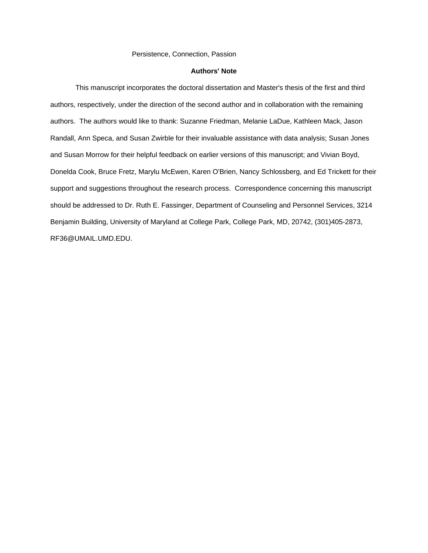# **Authors' Note**

 This manuscript incorporates the doctoral dissertation and Master's thesis of the first and third authors, respectively, under the direction of the second author and in collaboration with the remaining authors. The authors would like to thank: Suzanne Friedman, Melanie LaDue, Kathleen Mack, Jason Randall, Ann Speca, and Susan Zwirble for their invaluable assistance with data analysis; Susan Jones and Susan Morrow for their helpful feedback on earlier versions of this manuscript; and Vivian Boyd, Donelda Cook, Bruce Fretz, Marylu McEwen, Karen O'Brien, Nancy Schlossberg, and Ed Trickett for their support and suggestions throughout the research process. Correspondence concerning this manuscript should be addressed to Dr. Ruth E. Fassinger, Department of Counseling and Personnel Services, 3214 Benjamin Building, University of Maryland at College Park, College Park, MD, 20742, (301)405-2873, RF36@UMAIL.UMD.EDU.